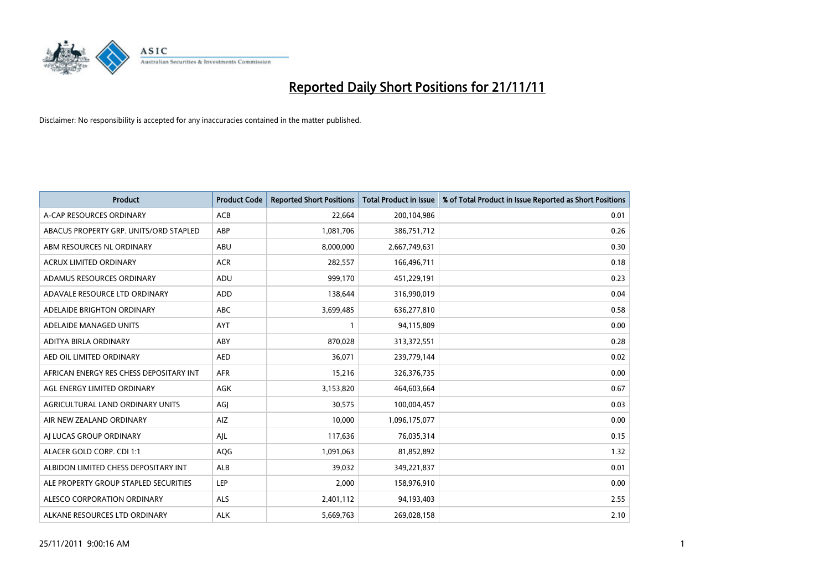

| <b>Product</b>                          | <b>Product Code</b> | <b>Reported Short Positions</b> | <b>Total Product in Issue</b> | % of Total Product in Issue Reported as Short Positions |
|-----------------------------------------|---------------------|---------------------------------|-------------------------------|---------------------------------------------------------|
| A-CAP RESOURCES ORDINARY                | <b>ACB</b>          | 22,664                          | 200,104,986                   | 0.01                                                    |
| ABACUS PROPERTY GRP. UNITS/ORD STAPLED  | ABP                 | 1,081,706                       | 386,751,712                   | 0.26                                                    |
| ABM RESOURCES NL ORDINARY               | ABU                 | 8,000,000                       | 2,667,749,631                 | 0.30                                                    |
| ACRUX LIMITED ORDINARY                  | <b>ACR</b>          | 282,557                         | 166,496,711                   | 0.18                                                    |
| ADAMUS RESOURCES ORDINARY               | ADU                 | 999,170                         | 451,229,191                   | 0.23                                                    |
| ADAVALE RESOURCE LTD ORDINARY           | ADD                 | 138,644                         | 316,990,019                   | 0.04                                                    |
| ADELAIDE BRIGHTON ORDINARY              | <b>ABC</b>          | 3,699,485                       | 636,277,810                   | 0.58                                                    |
| ADELAIDE MANAGED UNITS                  | <b>AYT</b>          |                                 | 94,115,809                    | 0.00                                                    |
| ADITYA BIRLA ORDINARY                   | ABY                 | 870,028                         | 313,372,551                   | 0.28                                                    |
| AED OIL LIMITED ORDINARY                | <b>AED</b>          | 36,071                          | 239,779,144                   | 0.02                                                    |
| AFRICAN ENERGY RES CHESS DEPOSITARY INT | <b>AFR</b>          | 15,216                          | 326,376,735                   | 0.00                                                    |
| AGL ENERGY LIMITED ORDINARY             | <b>AGK</b>          | 3,153,820                       | 464,603,664                   | 0.67                                                    |
| AGRICULTURAL LAND ORDINARY UNITS        | AGI                 | 30,575                          | 100,004,457                   | 0.03                                                    |
| AIR NEW ZEALAND ORDINARY                | AIZ                 | 10,000                          | 1,096,175,077                 | 0.00                                                    |
| AI LUCAS GROUP ORDINARY                 | AJL                 | 117,636                         | 76,035,314                    | 0.15                                                    |
| ALACER GOLD CORP. CDI 1:1               | <b>AQG</b>          | 1,091,063                       | 81,852,892                    | 1.32                                                    |
| ALBIDON LIMITED CHESS DEPOSITARY INT    | <b>ALB</b>          | 39,032                          | 349,221,837                   | 0.01                                                    |
| ALE PROPERTY GROUP STAPLED SECURITIES   | LEP                 | 2,000                           | 158,976,910                   | 0.00                                                    |
| ALESCO CORPORATION ORDINARY             | <b>ALS</b>          | 2,401,112                       | 94,193,403                    | 2.55                                                    |
| ALKANE RESOURCES LTD ORDINARY           | <b>ALK</b>          | 5,669,763                       | 269,028,158                   | 2.10                                                    |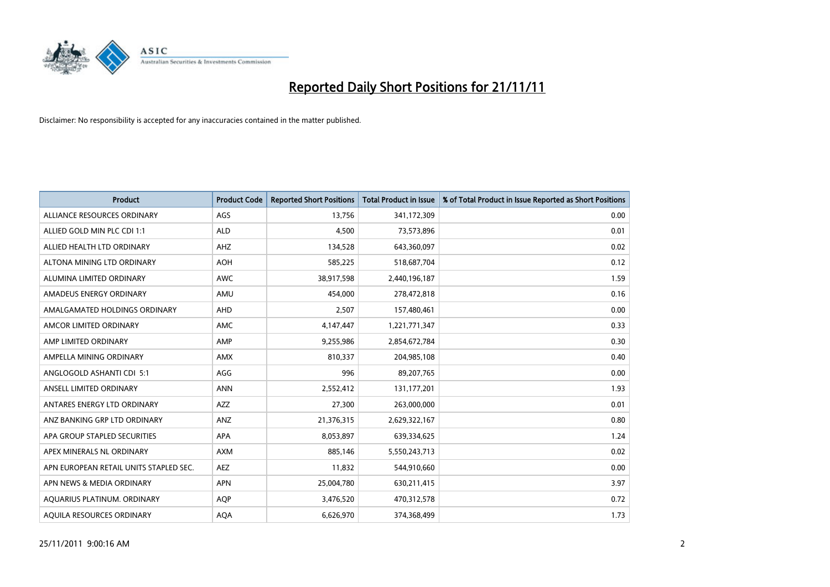

| <b>Product</b>                         | <b>Product Code</b> | <b>Reported Short Positions</b> | <b>Total Product in Issue</b> | % of Total Product in Issue Reported as Short Positions |
|----------------------------------------|---------------------|---------------------------------|-------------------------------|---------------------------------------------------------|
| ALLIANCE RESOURCES ORDINARY            | AGS                 | 13,756                          | 341,172,309                   | 0.00                                                    |
| ALLIED GOLD MIN PLC CDI 1:1            | <b>ALD</b>          | 4,500                           | 73,573,896                    | 0.01                                                    |
| ALLIED HEALTH LTD ORDINARY             | AHZ                 | 134,528                         | 643,360,097                   | 0.02                                                    |
| ALTONA MINING LTD ORDINARY             | <b>AOH</b>          | 585,225                         | 518,687,704                   | 0.12                                                    |
| ALUMINA LIMITED ORDINARY               | <b>AWC</b>          | 38,917,598                      | 2,440,196,187                 | 1.59                                                    |
| AMADEUS ENERGY ORDINARY                | AMU                 | 454.000                         | 278,472,818                   | 0.16                                                    |
| AMALGAMATED HOLDINGS ORDINARY          | <b>AHD</b>          | 2,507                           | 157,480,461                   | 0.00                                                    |
| AMCOR LIMITED ORDINARY                 | AMC                 | 4,147,447                       | 1,221,771,347                 | 0.33                                                    |
| AMP LIMITED ORDINARY                   | AMP                 | 9,255,986                       | 2,854,672,784                 | 0.30                                                    |
| AMPELLA MINING ORDINARY                | <b>AMX</b>          | 810,337                         | 204,985,108                   | 0.40                                                    |
| ANGLOGOLD ASHANTI CDI 5:1              | AGG                 | 996                             | 89,207,765                    | 0.00                                                    |
| ANSELL LIMITED ORDINARY                | <b>ANN</b>          | 2,552,412                       | 131,177,201                   | 1.93                                                    |
| ANTARES ENERGY LTD ORDINARY            | <b>AZZ</b>          | 27,300                          | 263,000,000                   | 0.01                                                    |
| ANZ BANKING GRP LTD ORDINARY           | ANZ                 | 21,376,315                      | 2,629,322,167                 | 0.80                                                    |
| APA GROUP STAPLED SECURITIES           | <b>APA</b>          | 8,053,897                       | 639,334,625                   | 1.24                                                    |
| APEX MINERALS NL ORDINARY              | <b>AXM</b>          | 885,146                         | 5,550,243,713                 | 0.02                                                    |
| APN EUROPEAN RETAIL UNITS STAPLED SEC. | <b>AEZ</b>          | 11,832                          | 544,910,660                   | 0.00                                                    |
| APN NEWS & MEDIA ORDINARY              | <b>APN</b>          | 25,004,780                      | 630,211,415                   | 3.97                                                    |
| AQUARIUS PLATINUM. ORDINARY            | <b>AOP</b>          | 3,476,520                       | 470,312,578                   | 0.72                                                    |
| AQUILA RESOURCES ORDINARY              | <b>AQA</b>          | 6,626,970                       | 374,368,499                   | 1.73                                                    |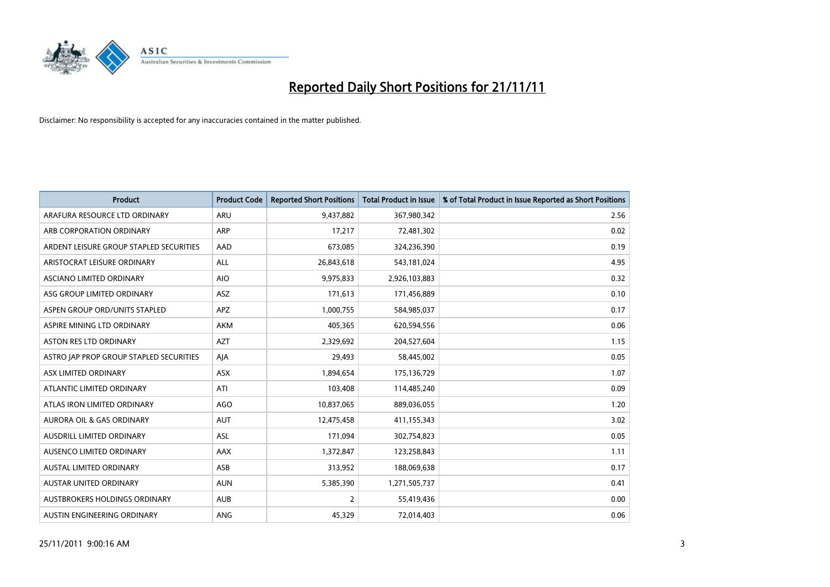

| <b>Product</b>                          | <b>Product Code</b> | <b>Reported Short Positions</b> | <b>Total Product in Issue</b> | % of Total Product in Issue Reported as Short Positions |
|-----------------------------------------|---------------------|---------------------------------|-------------------------------|---------------------------------------------------------|
| ARAFURA RESOURCE LTD ORDINARY           | <b>ARU</b>          | 9,437,882                       | 367,980,342                   | 2.56                                                    |
| ARB CORPORATION ORDINARY                | <b>ARP</b>          | 17,217                          | 72,481,302                    | 0.02                                                    |
| ARDENT LEISURE GROUP STAPLED SECURITIES | AAD                 | 673,085                         | 324,236,390                   | 0.19                                                    |
| ARISTOCRAT LEISURE ORDINARY             | ALL                 | 26,843,618                      | 543,181,024                   | 4.95                                                    |
| ASCIANO LIMITED ORDINARY                | <b>AIO</b>          | 9,975,833                       | 2,926,103,883                 | 0.32                                                    |
| ASG GROUP LIMITED ORDINARY              | <b>ASZ</b>          | 171,613                         | 171,456,889                   | 0.10                                                    |
| ASPEN GROUP ORD/UNITS STAPLED           | <b>APZ</b>          | 1,000,755                       | 584,985,037                   | 0.17                                                    |
| ASPIRE MINING LTD ORDINARY              | <b>AKM</b>          | 405,365                         | 620,594,556                   | 0.06                                                    |
| ASTON RES LTD ORDINARY                  | <b>AZT</b>          | 2,329,692                       | 204,527,604                   | 1.15                                                    |
| ASTRO JAP PROP GROUP STAPLED SECURITIES | AJA                 | 29,493                          | 58,445,002                    | 0.05                                                    |
| ASX LIMITED ORDINARY                    | <b>ASX</b>          | 1,894,654                       | 175,136,729                   | 1.07                                                    |
| ATLANTIC LIMITED ORDINARY               | ATI                 | 103,408                         | 114,485,240                   | 0.09                                                    |
| ATLAS IRON LIMITED ORDINARY             | AGO                 | 10,837,065                      | 889,036,055                   | 1.20                                                    |
| <b>AURORA OIL &amp; GAS ORDINARY</b>    | <b>AUT</b>          | 12,475,458                      | 411,155,343                   | 3.02                                                    |
| AUSDRILL LIMITED ORDINARY               | <b>ASL</b>          | 171,094                         | 302,754,823                   | 0.05                                                    |
| AUSENCO LIMITED ORDINARY                | AAX                 | 1,372,847                       | 123,258,843                   | 1.11                                                    |
| <b>AUSTAL LIMITED ORDINARY</b>          | ASB                 | 313,952                         | 188,069,638                   | 0.17                                                    |
| AUSTAR UNITED ORDINARY                  | <b>AUN</b>          | 5,385,390                       | 1,271,505,737                 | 0.41                                                    |
| AUSTBROKERS HOLDINGS ORDINARY           | <b>AUB</b>          | $\overline{2}$                  | 55,419,436                    | 0.00                                                    |
| AUSTIN ENGINEERING ORDINARY             | <b>ANG</b>          | 45,329                          | 72,014,403                    | 0.06                                                    |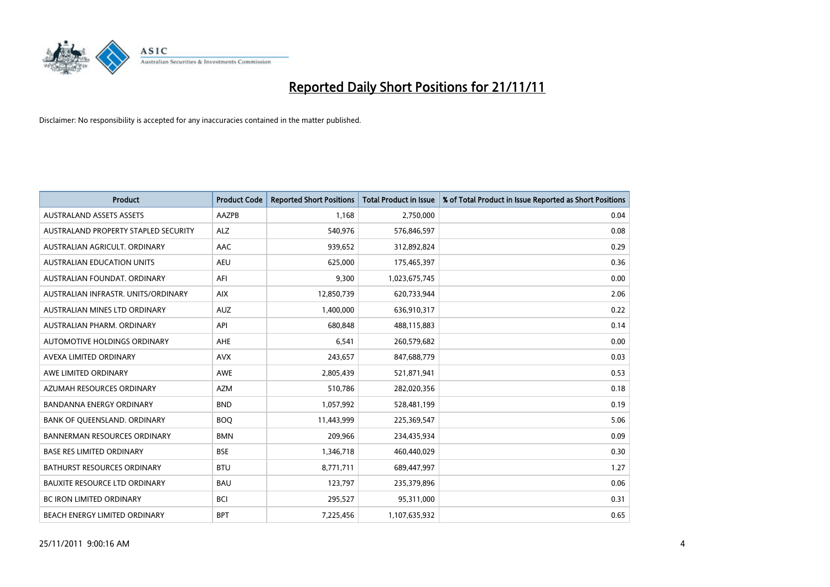

| <b>Product</b>                       | <b>Product Code</b> | <b>Reported Short Positions</b> | <b>Total Product in Issue</b> | % of Total Product in Issue Reported as Short Positions |
|--------------------------------------|---------------------|---------------------------------|-------------------------------|---------------------------------------------------------|
| <b>AUSTRALAND ASSETS ASSETS</b>      | AAZPB               | 1,168                           | 2,750,000                     | 0.04                                                    |
| AUSTRALAND PROPERTY STAPLED SECURITY | <b>ALZ</b>          | 540,976                         | 576,846,597                   | 0.08                                                    |
| AUSTRALIAN AGRICULT, ORDINARY        | AAC                 | 939,652                         | 312,892,824                   | 0.29                                                    |
| <b>AUSTRALIAN EDUCATION UNITS</b>    | <b>AEU</b>          | 625,000                         | 175,465,397                   | 0.36                                                    |
| AUSTRALIAN FOUNDAT, ORDINARY         | AFI                 | 9,300                           | 1,023,675,745                 | 0.00                                                    |
| AUSTRALIAN INFRASTR, UNITS/ORDINARY  | <b>AIX</b>          | 12,850,739                      | 620,733,944                   | 2.06                                                    |
| AUSTRALIAN MINES LTD ORDINARY        | <b>AUZ</b>          | 1,400,000                       | 636,910,317                   | 0.22                                                    |
| <b>AUSTRALIAN PHARM, ORDINARY</b>    | API                 | 680,848                         | 488,115,883                   | 0.14                                                    |
| AUTOMOTIVE HOLDINGS ORDINARY         | <b>AHE</b>          | 6,541                           | 260,579,682                   | 0.00                                                    |
| AVEXA LIMITED ORDINARY               | <b>AVX</b>          | 243,657                         | 847,688,779                   | 0.03                                                    |
| AWE LIMITED ORDINARY                 | <b>AWE</b>          | 2,805,439                       | 521,871,941                   | 0.53                                                    |
| AZUMAH RESOURCES ORDINARY            | <b>AZM</b>          | 510,786                         | 282,020,356                   | 0.18                                                    |
| <b>BANDANNA ENERGY ORDINARY</b>      | <b>BND</b>          | 1,057,992                       | 528,481,199                   | 0.19                                                    |
| BANK OF QUEENSLAND. ORDINARY         | <b>BOQ</b>          | 11,443,999                      | 225,369,547                   | 5.06                                                    |
| <b>BANNERMAN RESOURCES ORDINARY</b>  | <b>BMN</b>          | 209,966                         | 234,435,934                   | 0.09                                                    |
| <b>BASE RES LIMITED ORDINARY</b>     | <b>BSE</b>          | 1,346,718                       | 460,440,029                   | 0.30                                                    |
| <b>BATHURST RESOURCES ORDINARY</b>   | <b>BTU</b>          | 8,771,711                       | 689,447,997                   | 1.27                                                    |
| BAUXITE RESOURCE LTD ORDINARY        | <b>BAU</b>          | 123,797                         | 235,379,896                   | 0.06                                                    |
| <b>BC IRON LIMITED ORDINARY</b>      | <b>BCI</b>          | 295,527                         | 95,311,000                    | 0.31                                                    |
| BEACH ENERGY LIMITED ORDINARY        | <b>BPT</b>          | 7,225,456                       | 1,107,635,932                 | 0.65                                                    |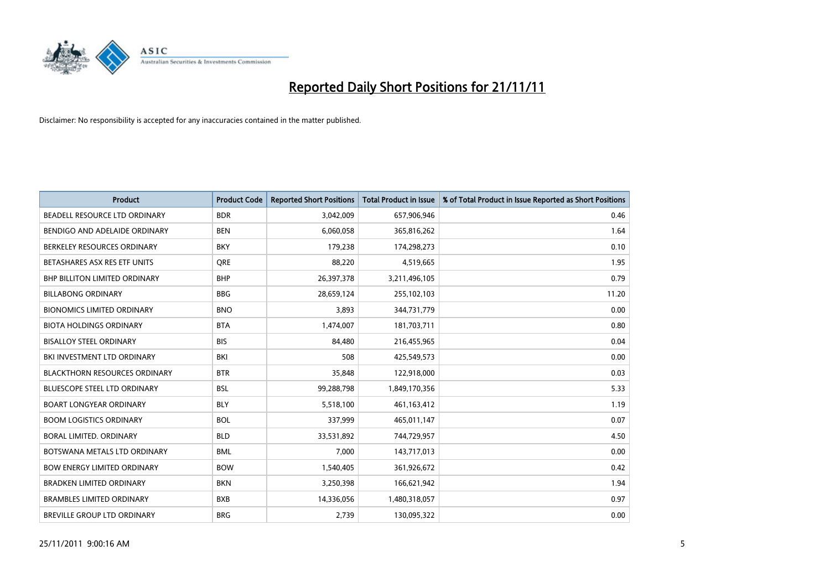

| <b>Product</b>                       | <b>Product Code</b> | <b>Reported Short Positions</b> | <b>Total Product in Issue</b> | % of Total Product in Issue Reported as Short Positions |
|--------------------------------------|---------------------|---------------------------------|-------------------------------|---------------------------------------------------------|
| BEADELL RESOURCE LTD ORDINARY        | <b>BDR</b>          | 3,042,009                       | 657,906,946                   | 0.46                                                    |
| BENDIGO AND ADELAIDE ORDINARY        | <b>BEN</b>          | 6,060,058                       | 365,816,262                   | 1.64                                                    |
| BERKELEY RESOURCES ORDINARY          | <b>BKY</b>          | 179,238                         | 174,298,273                   | 0.10                                                    |
| BETASHARES ASX RES ETF UNITS         | <b>ORE</b>          | 88,220                          | 4,519,665                     | 1.95                                                    |
| <b>BHP BILLITON LIMITED ORDINARY</b> | <b>BHP</b>          | 26,397,378                      | 3,211,496,105                 | 0.79                                                    |
| <b>BILLABONG ORDINARY</b>            | <b>BBG</b>          | 28,659,124                      | 255,102,103                   | 11.20                                                   |
| <b>BIONOMICS LIMITED ORDINARY</b>    | <b>BNO</b>          | 3,893                           | 344,731,779                   | 0.00                                                    |
| <b>BIOTA HOLDINGS ORDINARY</b>       | <b>BTA</b>          | 1,474,007                       | 181,703,711                   | 0.80                                                    |
| <b>BISALLOY STEEL ORDINARY</b>       | <b>BIS</b>          | 84,480                          | 216,455,965                   | 0.04                                                    |
| BKI INVESTMENT LTD ORDINARY          | BKI                 | 508                             | 425,549,573                   | 0.00                                                    |
| <b>BLACKTHORN RESOURCES ORDINARY</b> | <b>BTR</b>          | 35,848                          | 122,918,000                   | 0.03                                                    |
| <b>BLUESCOPE STEEL LTD ORDINARY</b>  | <b>BSL</b>          | 99,288,798                      | 1,849,170,356                 | 5.33                                                    |
| <b>BOART LONGYEAR ORDINARY</b>       | <b>BLY</b>          | 5,518,100                       | 461,163,412                   | 1.19                                                    |
| <b>BOOM LOGISTICS ORDINARY</b>       | <b>BOL</b>          | 337,999                         | 465,011,147                   | 0.07                                                    |
| BORAL LIMITED, ORDINARY              | <b>BLD</b>          | 33,531,892                      | 744,729,957                   | 4.50                                                    |
| BOTSWANA METALS LTD ORDINARY         | <b>BML</b>          | 7,000                           | 143,717,013                   | 0.00                                                    |
| <b>BOW ENERGY LIMITED ORDINARY</b>   | <b>BOW</b>          | 1,540,405                       | 361,926,672                   | 0.42                                                    |
| <b>BRADKEN LIMITED ORDINARY</b>      | <b>BKN</b>          | 3,250,398                       | 166,621,942                   | 1.94                                                    |
| <b>BRAMBLES LIMITED ORDINARY</b>     | <b>BXB</b>          | 14,336,056                      | 1,480,318,057                 | 0.97                                                    |
| <b>BREVILLE GROUP LTD ORDINARY</b>   | <b>BRG</b>          | 2.739                           | 130.095.322                   | 0.00                                                    |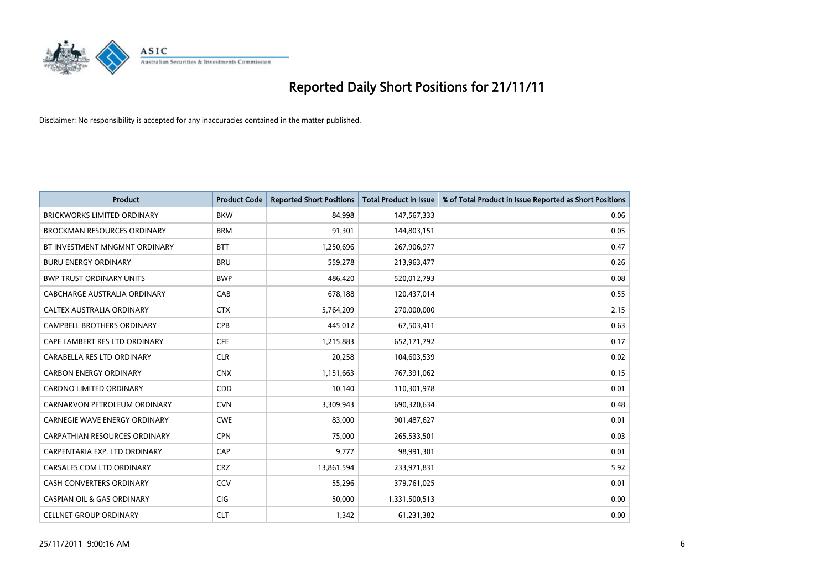

| <b>Product</b>                        | <b>Product Code</b> | <b>Reported Short Positions</b> | <b>Total Product in Issue</b> | % of Total Product in Issue Reported as Short Positions |
|---------------------------------------|---------------------|---------------------------------|-------------------------------|---------------------------------------------------------|
| <b>BRICKWORKS LIMITED ORDINARY</b>    | <b>BKW</b>          | 84.998                          | 147,567,333                   | 0.06                                                    |
| <b>BROCKMAN RESOURCES ORDINARY</b>    | <b>BRM</b>          | 91,301                          | 144,803,151                   | 0.05                                                    |
| BT INVESTMENT MNGMNT ORDINARY         | <b>BTT</b>          | 1,250,696                       | 267,906,977                   | 0.47                                                    |
| <b>BURU ENERGY ORDINARY</b>           | <b>BRU</b>          | 559,278                         | 213,963,477                   | 0.26                                                    |
| <b>BWP TRUST ORDINARY UNITS</b>       | <b>BWP</b>          | 486,420                         | 520,012,793                   | 0.08                                                    |
| CABCHARGE AUSTRALIA ORDINARY          | CAB                 | 678,188                         | 120,437,014                   | 0.55                                                    |
| CALTEX AUSTRALIA ORDINARY             | <b>CTX</b>          | 5,764,209                       | 270,000,000                   | 2.15                                                    |
| <b>CAMPBELL BROTHERS ORDINARY</b>     | <b>CPB</b>          | 445,012                         | 67,503,411                    | 0.63                                                    |
| CAPE LAMBERT RES LTD ORDINARY         | <b>CFE</b>          | 1,215,883                       | 652,171,792                   | 0.17                                                    |
| CARABELLA RES LTD ORDINARY            | <b>CLR</b>          | 20,258                          | 104,603,539                   | 0.02                                                    |
| <b>CARBON ENERGY ORDINARY</b>         | <b>CNX</b>          | 1,151,663                       | 767,391,062                   | 0.15                                                    |
| <b>CARDNO LIMITED ORDINARY</b>        | <b>CDD</b>          | 10,140                          | 110,301,978                   | 0.01                                                    |
| CARNARVON PETROLEUM ORDINARY          | <b>CVN</b>          | 3,309,943                       | 690,320,634                   | 0.48                                                    |
| <b>CARNEGIE WAVE ENERGY ORDINARY</b>  | <b>CWE</b>          | 83,000                          | 901,487,627                   | 0.01                                                    |
| <b>CARPATHIAN RESOURCES ORDINARY</b>  | <b>CPN</b>          | 75.000                          | 265,533,501                   | 0.03                                                    |
| CARPENTARIA EXP. LTD ORDINARY         | CAP                 | 9,777                           | 98,991,301                    | 0.01                                                    |
| CARSALES.COM LTD ORDINARY             | <b>CRZ</b>          | 13,861,594                      | 233,971,831                   | 5.92                                                    |
| CASH CONVERTERS ORDINARY              | CCV                 | 55,296                          | 379,761,025                   | 0.01                                                    |
| <b>CASPIAN OIL &amp; GAS ORDINARY</b> | <b>CIG</b>          | 50,000                          | 1,331,500,513                 | 0.00                                                    |
| <b>CELLNET GROUP ORDINARY</b>         | <b>CLT</b>          | 1,342                           | 61,231,382                    | 0.00                                                    |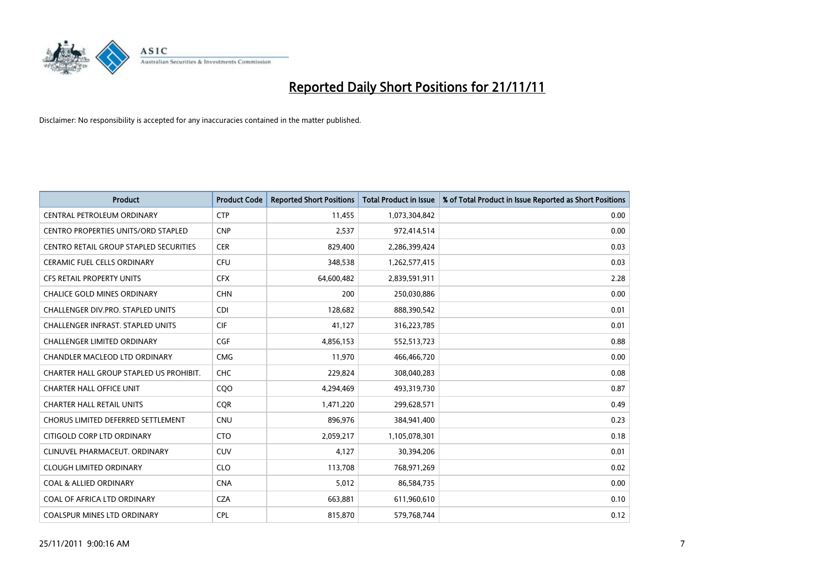

| <b>Product</b>                             | <b>Product Code</b> | <b>Reported Short Positions</b> | <b>Total Product in Issue</b> | % of Total Product in Issue Reported as Short Positions |
|--------------------------------------------|---------------------|---------------------------------|-------------------------------|---------------------------------------------------------|
| <b>CENTRAL PETROLEUM ORDINARY</b>          | <b>CTP</b>          | 11,455                          | 1,073,304,842                 | 0.00                                                    |
| <b>CENTRO PROPERTIES UNITS/ORD STAPLED</b> | <b>CNP</b>          | 2,537                           | 972,414,514                   | 0.00                                                    |
| CENTRO RETAIL GROUP STAPLED SECURITIES     | <b>CER</b>          | 829,400                         | 2,286,399,424                 | 0.03                                                    |
| CERAMIC FUEL CELLS ORDINARY                | <b>CFU</b>          | 348,538                         | 1,262,577,415                 | 0.03                                                    |
| <b>CFS RETAIL PROPERTY UNITS</b>           | <b>CFX</b>          | 64,600,482                      | 2,839,591,911                 | 2.28                                                    |
| <b>CHALICE GOLD MINES ORDINARY</b>         | <b>CHN</b>          | 200                             | 250,030,886                   | 0.00                                                    |
| CHALLENGER DIV.PRO. STAPLED UNITS          | <b>CDI</b>          | 128.682                         | 888,390,542                   | 0.01                                                    |
| <b>CHALLENGER INFRAST, STAPLED UNITS</b>   | <b>CIF</b>          | 41,127                          | 316,223,785                   | 0.01                                                    |
| <b>CHALLENGER LIMITED ORDINARY</b>         | <b>CGF</b>          | 4,856,153                       | 552,513,723                   | 0.88                                                    |
| CHANDLER MACLEOD LTD ORDINARY              | <b>CMG</b>          | 11,970                          | 466,466,720                   | 0.00                                                    |
| CHARTER HALL GROUP STAPLED US PROHIBIT.    | <b>CHC</b>          | 229.824                         | 308,040,283                   | 0.08                                                    |
| <b>CHARTER HALL OFFICE UNIT</b>            | CQ <sub>O</sub>     | 4,294,469                       | 493,319,730                   | 0.87                                                    |
| <b>CHARTER HALL RETAIL UNITS</b>           | <b>COR</b>          | 1,471,220                       | 299,628,571                   | 0.49                                                    |
| <b>CHORUS LIMITED DEFERRED SETTLEMENT</b>  | <b>CNU</b>          | 896,976                         | 384,941,400                   | 0.23                                                    |
| CITIGOLD CORP LTD ORDINARY                 | <b>CTO</b>          | 2,059,217                       | 1,105,078,301                 | 0.18                                                    |
| CLINUVEL PHARMACEUT, ORDINARY              | CUV                 | 4,127                           | 30,394,206                    | 0.01                                                    |
| <b>CLOUGH LIMITED ORDINARY</b>             | <b>CLO</b>          | 113,708                         | 768,971,269                   | 0.02                                                    |
| <b>COAL &amp; ALLIED ORDINARY</b>          | <b>CNA</b>          | 5,012                           | 86,584,735                    | 0.00                                                    |
| COAL OF AFRICA LTD ORDINARY                | <b>CZA</b>          | 663,881                         | 611,960,610                   | 0.10                                                    |
| <b>COALSPUR MINES LTD ORDINARY</b>         | <b>CPL</b>          | 815.870                         | 579,768,744                   | 0.12                                                    |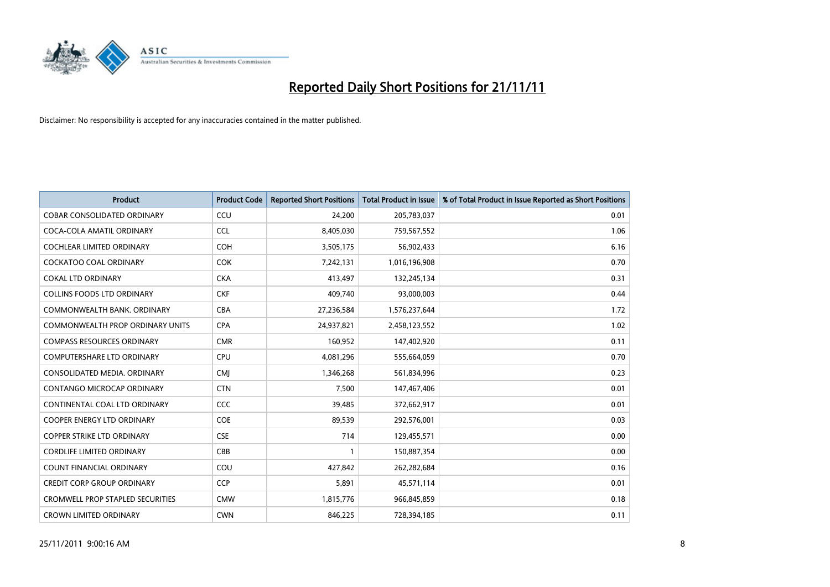

| <b>Product</b>                          | <b>Product Code</b> | <b>Reported Short Positions</b> | <b>Total Product in Issue</b> | % of Total Product in Issue Reported as Short Positions |
|-----------------------------------------|---------------------|---------------------------------|-------------------------------|---------------------------------------------------------|
| <b>COBAR CONSOLIDATED ORDINARY</b>      | CCU                 | 24,200                          | 205,783,037                   | 0.01                                                    |
| COCA-COLA AMATIL ORDINARY               | <b>CCL</b>          | 8,405,030                       | 759,567,552                   | 1.06                                                    |
| <b>COCHLEAR LIMITED ORDINARY</b>        | <b>COH</b>          | 3,505,175                       | 56,902,433                    | 6.16                                                    |
| COCKATOO COAL ORDINARY                  | <b>COK</b>          | 7,242,131                       | 1,016,196,908                 | 0.70                                                    |
| <b>COKAL LTD ORDINARY</b>               | <b>CKA</b>          | 413,497                         | 132,245,134                   | 0.31                                                    |
| <b>COLLINS FOODS LTD ORDINARY</b>       | <b>CKF</b>          | 409,740                         | 93,000,003                    | 0.44                                                    |
| COMMONWEALTH BANK, ORDINARY             | <b>CBA</b>          | 27,236,584                      | 1,576,237,644                 | 1.72                                                    |
| <b>COMMONWEALTH PROP ORDINARY UNITS</b> | <b>CPA</b>          | 24,937,821                      | 2,458,123,552                 | 1.02                                                    |
| <b>COMPASS RESOURCES ORDINARY</b>       | <b>CMR</b>          | 160,952                         | 147,402,920                   | 0.11                                                    |
| <b>COMPUTERSHARE LTD ORDINARY</b>       | CPU                 | 4,081,296                       | 555,664,059                   | 0.70                                                    |
| CONSOLIDATED MEDIA, ORDINARY            | <b>CMI</b>          | 1,346,268                       | 561,834,996                   | 0.23                                                    |
| <b>CONTANGO MICROCAP ORDINARY</b>       | <b>CTN</b>          | 7,500                           | 147,467,406                   | 0.01                                                    |
| CONTINENTAL COAL LTD ORDINARY           | CCC                 | 39,485                          | 372,662,917                   | 0.01                                                    |
| <b>COOPER ENERGY LTD ORDINARY</b>       | <b>COE</b>          | 89,539                          | 292,576,001                   | 0.03                                                    |
| <b>COPPER STRIKE LTD ORDINARY</b>       | <b>CSE</b>          | 714                             | 129,455,571                   | 0.00                                                    |
| <b>CORDLIFE LIMITED ORDINARY</b>        | CBB                 |                                 | 150,887,354                   | 0.00                                                    |
| <b>COUNT FINANCIAL ORDINARY</b>         | COU                 | 427,842                         | 262,282,684                   | 0.16                                                    |
| <b>CREDIT CORP GROUP ORDINARY</b>       | <b>CCP</b>          | 5,891                           | 45,571,114                    | 0.01                                                    |
| <b>CROMWELL PROP STAPLED SECURITIES</b> | <b>CMW</b>          | 1,815,776                       | 966,845,859                   | 0.18                                                    |
| <b>CROWN LIMITED ORDINARY</b>           | <b>CWN</b>          | 846.225                         | 728,394,185                   | 0.11                                                    |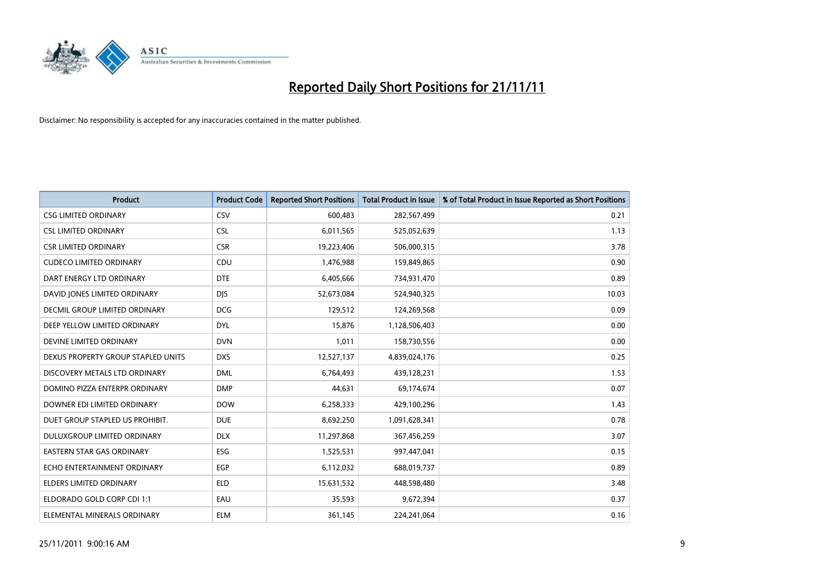

| <b>Product</b>                       | <b>Product Code</b> | <b>Reported Short Positions</b> | <b>Total Product in Issue</b> | % of Total Product in Issue Reported as Short Positions |
|--------------------------------------|---------------------|---------------------------------|-------------------------------|---------------------------------------------------------|
| <b>CSG LIMITED ORDINARY</b>          | CSV                 | 600,483                         | 282,567,499                   | 0.21                                                    |
| <b>CSL LIMITED ORDINARY</b>          | <b>CSL</b>          | 6,011,565                       | 525,052,639                   | 1.13                                                    |
| <b>CSR LIMITED ORDINARY</b>          | <b>CSR</b>          | 19,223,406                      | 506,000,315                   | 3.78                                                    |
| <b>CUDECO LIMITED ORDINARY</b>       | CDU                 | 1,476,988                       | 159,849,865                   | 0.90                                                    |
| DART ENERGY LTD ORDINARY             | <b>DTE</b>          | 6,405,666                       | 734,931,470                   | 0.89                                                    |
| DAVID JONES LIMITED ORDINARY         | <b>DJS</b>          | 52,673,084                      | 524,940,325                   | 10.03                                                   |
| <b>DECMIL GROUP LIMITED ORDINARY</b> | <b>DCG</b>          | 129,512                         | 124,269,568                   | 0.09                                                    |
| DEEP YELLOW LIMITED ORDINARY         | <b>DYL</b>          | 15,876                          | 1,128,506,403                 | 0.00                                                    |
| DEVINE LIMITED ORDINARY              | <b>DVN</b>          | 1,011                           | 158,730,556                   | 0.00                                                    |
| DEXUS PROPERTY GROUP STAPLED UNITS   | <b>DXS</b>          | 12,527,137                      | 4,839,024,176                 | 0.25                                                    |
| DISCOVERY METALS LTD ORDINARY        | <b>DML</b>          | 6,764,493                       | 439,128,231                   | 1.53                                                    |
| DOMINO PIZZA ENTERPR ORDINARY        | <b>DMP</b>          | 44,631                          | 69,174,674                    | 0.07                                                    |
| DOWNER EDI LIMITED ORDINARY          | <b>DOW</b>          | 6,258,333                       | 429,100,296                   | 1.43                                                    |
| DUET GROUP STAPLED US PROHIBIT.      | <b>DUE</b>          | 8,692,250                       | 1,091,628,341                 | 0.78                                                    |
| DULUXGROUP LIMITED ORDINARY          | <b>DLX</b>          | 11,297,868                      | 367,456,259                   | 3.07                                                    |
| EASTERN STAR GAS ORDINARY            | ESG                 | 1,525,531                       | 997,447,041                   | 0.15                                                    |
| ECHO ENTERTAINMENT ORDINARY          | <b>EGP</b>          | 6,112,032                       | 688,019,737                   | 0.89                                                    |
| ELDERS LIMITED ORDINARY              | <b>ELD</b>          | 15,631,532                      | 448,598,480                   | 3.48                                                    |
| ELDORADO GOLD CORP CDI 1:1           | EAU                 | 35,593                          | 9,672,394                     | 0.37                                                    |
| ELEMENTAL MINERALS ORDINARY          | <b>ELM</b>          | 361,145                         | 224,241,064                   | 0.16                                                    |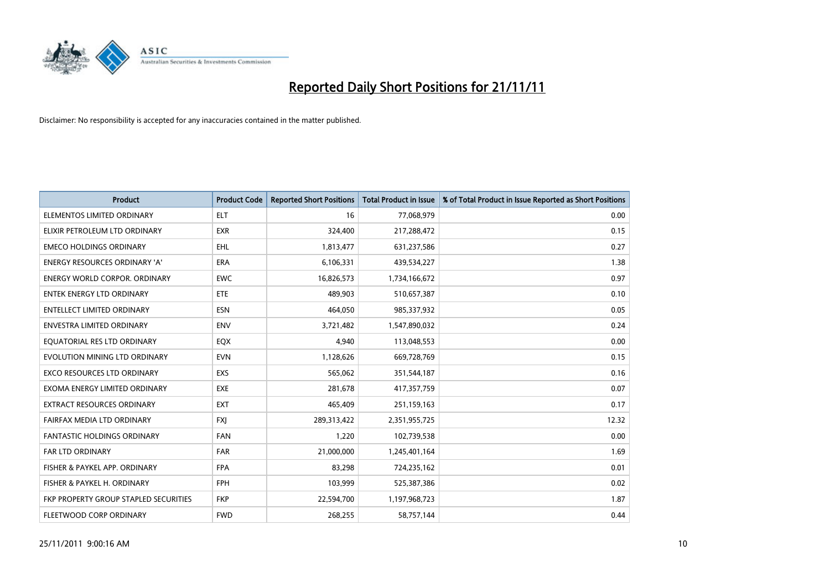

| <b>Product</b>                        | <b>Product Code</b> | <b>Reported Short Positions</b> | <b>Total Product in Issue</b> | % of Total Product in Issue Reported as Short Positions |
|---------------------------------------|---------------------|---------------------------------|-------------------------------|---------------------------------------------------------|
| ELEMENTOS LIMITED ORDINARY            | <b>ELT</b>          | 16                              | 77,068,979                    | 0.00                                                    |
| ELIXIR PETROLEUM LTD ORDINARY         | <b>EXR</b>          | 324,400                         | 217,288,472                   | 0.15                                                    |
| <b>EMECO HOLDINGS ORDINARY</b>        | <b>EHL</b>          | 1,813,477                       | 631,237,586                   | 0.27                                                    |
| ENERGY RESOURCES ORDINARY 'A'         | <b>ERA</b>          | 6,106,331                       | 439,534,227                   | 1.38                                                    |
| <b>ENERGY WORLD CORPOR, ORDINARY</b>  | <b>EWC</b>          | 16,826,573                      | 1,734,166,672                 | 0.97                                                    |
| <b>ENTEK ENERGY LTD ORDINARY</b>      | <b>ETE</b>          | 489.903                         | 510,657,387                   | 0.10                                                    |
| ENTELLECT LIMITED ORDINARY            | <b>ESN</b>          | 464,050                         | 985,337,932                   | 0.05                                                    |
| <b>ENVESTRA LIMITED ORDINARY</b>      | <b>ENV</b>          | 3,721,482                       | 1,547,890,032                 | 0.24                                                    |
| EQUATORIAL RES LTD ORDINARY           | EQX                 | 4,940                           | 113,048,553                   | 0.00                                                    |
| EVOLUTION MINING LTD ORDINARY         | <b>EVN</b>          | 1,128,626                       | 669,728,769                   | 0.15                                                    |
| EXCO RESOURCES LTD ORDINARY           | <b>EXS</b>          | 565,062                         | 351,544,187                   | 0.16                                                    |
| EXOMA ENERGY LIMITED ORDINARY         | <b>EXE</b>          | 281,678                         | 417,357,759                   | 0.07                                                    |
| <b>EXTRACT RESOURCES ORDINARY</b>     | <b>EXT</b>          | 465,409                         | 251,159,163                   | 0.17                                                    |
| FAIRFAX MEDIA LTD ORDINARY            | <b>FXI</b>          | 289,313,422                     | 2,351,955,725                 | 12.32                                                   |
| <b>FANTASTIC HOLDINGS ORDINARY</b>    | <b>FAN</b>          | 1,220                           | 102,739,538                   | 0.00                                                    |
| FAR LTD ORDINARY                      | <b>FAR</b>          | 21,000,000                      | 1,245,401,164                 | 1.69                                                    |
| FISHER & PAYKEL APP. ORDINARY         | <b>FPA</b>          | 83,298                          | 724,235,162                   | 0.01                                                    |
| FISHER & PAYKEL H. ORDINARY           | <b>FPH</b>          | 103,999                         | 525,387,386                   | 0.02                                                    |
| FKP PROPERTY GROUP STAPLED SECURITIES | <b>FKP</b>          | 22,594,700                      | 1,197,968,723                 | 1.87                                                    |
| FLEETWOOD CORP ORDINARY               | <b>FWD</b>          | 268,255                         | 58,757,144                    | 0.44                                                    |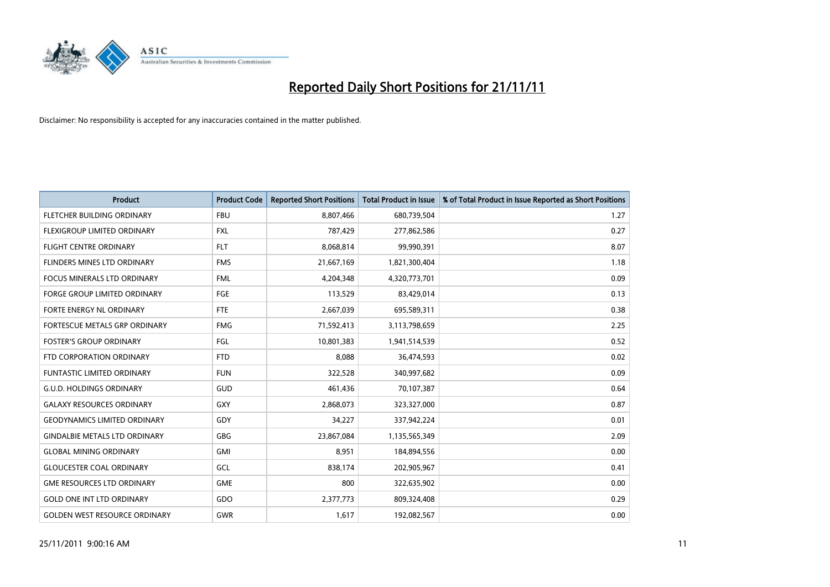

| <b>Product</b>                       | <b>Product Code</b> | <b>Reported Short Positions</b> | <b>Total Product in Issue</b> | % of Total Product in Issue Reported as Short Positions |
|--------------------------------------|---------------------|---------------------------------|-------------------------------|---------------------------------------------------------|
| FLETCHER BUILDING ORDINARY           | <b>FBU</b>          | 8,807,466                       | 680,739,504                   | 1.27                                                    |
| FLEXIGROUP LIMITED ORDINARY          | <b>FXL</b>          | 787,429                         | 277,862,586                   | 0.27                                                    |
| <b>FLIGHT CENTRE ORDINARY</b>        | <b>FLT</b>          | 8,068,814                       | 99,990,391                    | 8.07                                                    |
| FLINDERS MINES LTD ORDINARY          | <b>FMS</b>          | 21,667,169                      | 1,821,300,404                 | 1.18                                                    |
| <b>FOCUS MINERALS LTD ORDINARY</b>   | <b>FML</b>          | 4,204,348                       | 4,320,773,701                 | 0.09                                                    |
| <b>FORGE GROUP LIMITED ORDINARY</b>  | FGE                 | 113,529                         | 83,429,014                    | 0.13                                                    |
| <b>FORTE ENERGY NL ORDINARY</b>      | FTE                 | 2,667,039                       | 695,589,311                   | 0.38                                                    |
| <b>FORTESCUE METALS GRP ORDINARY</b> | <b>FMG</b>          | 71,592,413                      | 3,113,798,659                 | 2.25                                                    |
| <b>FOSTER'S GROUP ORDINARY</b>       | FGL                 | 10,801,383                      | 1,941,514,539                 | 0.52                                                    |
| FTD CORPORATION ORDINARY             | <b>FTD</b>          | 8,088                           | 36,474,593                    | 0.02                                                    |
| FUNTASTIC LIMITED ORDINARY           | <b>FUN</b>          | 322,528                         | 340,997,682                   | 0.09                                                    |
| <b>G.U.D. HOLDINGS ORDINARY</b>      | GUD                 | 461,436                         | 70,107,387                    | 0.64                                                    |
| <b>GALAXY RESOURCES ORDINARY</b>     | <b>GXY</b>          | 2,868,073                       | 323,327,000                   | 0.87                                                    |
| <b>GEODYNAMICS LIMITED ORDINARY</b>  | GDY                 | 34,227                          | 337,942,224                   | 0.01                                                    |
| <b>GINDALBIE METALS LTD ORDINARY</b> | GBG                 | 23,867,084                      | 1,135,565,349                 | 2.09                                                    |
| <b>GLOBAL MINING ORDINARY</b>        | GMI                 | 8,951                           | 184,894,556                   | 0.00                                                    |
| <b>GLOUCESTER COAL ORDINARY</b>      | GCL                 | 838,174                         | 202,905,967                   | 0.41                                                    |
| <b>GME RESOURCES LTD ORDINARY</b>    | <b>GME</b>          | 800                             | 322,635,902                   | 0.00                                                    |
| <b>GOLD ONE INT LTD ORDINARY</b>     | GDO                 | 2,377,773                       | 809,324,408                   | 0.29                                                    |
| <b>GOLDEN WEST RESOURCE ORDINARY</b> | <b>GWR</b>          | 1,617                           | 192,082,567                   | 0.00                                                    |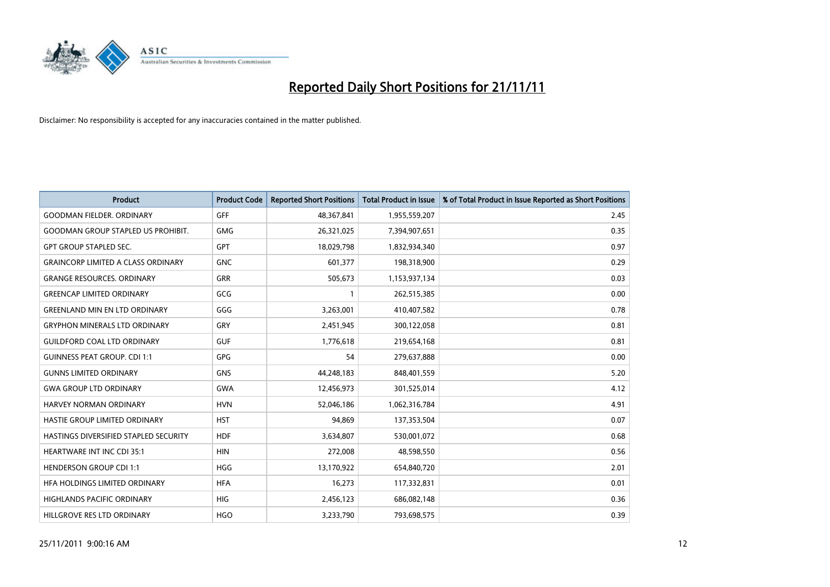

| <b>Product</b>                            | <b>Product Code</b> | <b>Reported Short Positions</b> | <b>Total Product in Issue</b> | % of Total Product in Issue Reported as Short Positions |
|-------------------------------------------|---------------------|---------------------------------|-------------------------------|---------------------------------------------------------|
| <b>GOODMAN FIELDER, ORDINARY</b>          | <b>GFF</b>          | 48,367,841                      | 1,955,559,207                 | 2.45                                                    |
| <b>GOODMAN GROUP STAPLED US PROHIBIT.</b> | <b>GMG</b>          | 26,321,025                      | 7,394,907,651                 | 0.35                                                    |
| <b>GPT GROUP STAPLED SEC.</b>             | <b>GPT</b>          | 18,029,798                      | 1,832,934,340                 | 0.97                                                    |
| <b>GRAINCORP LIMITED A CLASS ORDINARY</b> | <b>GNC</b>          | 601,377                         | 198,318,900                   | 0.29                                                    |
| <b>GRANGE RESOURCES, ORDINARY</b>         | <b>GRR</b>          | 505,673                         | 1,153,937,134                 | 0.03                                                    |
| <b>GREENCAP LIMITED ORDINARY</b>          | GCG                 |                                 | 262,515,385                   | 0.00                                                    |
| <b>GREENLAND MIN EN LTD ORDINARY</b>      | GGG                 | 3,263,001                       | 410,407,582                   | 0.78                                                    |
| <b>GRYPHON MINERALS LTD ORDINARY</b>      | GRY                 | 2,451,945                       | 300,122,058                   | 0.81                                                    |
| <b>GUILDFORD COAL LTD ORDINARY</b>        | <b>GUF</b>          | 1,776,618                       | 219,654,168                   | 0.81                                                    |
| <b>GUINNESS PEAT GROUP. CDI 1:1</b>       | <b>GPG</b>          | 54                              | 279,637,888                   | 0.00                                                    |
| <b>GUNNS LIMITED ORDINARY</b>             | <b>GNS</b>          | 44,248,183                      | 848,401,559                   | 5.20                                                    |
| <b>GWA GROUP LTD ORDINARY</b>             | <b>GWA</b>          | 12,456,973                      | 301,525,014                   | 4.12                                                    |
| HARVEY NORMAN ORDINARY                    | <b>HVN</b>          | 52,046,186                      | 1,062,316,784                 | 4.91                                                    |
| HASTIE GROUP LIMITED ORDINARY             | <b>HST</b>          | 94,869                          | 137,353,504                   | 0.07                                                    |
| HASTINGS DIVERSIFIED STAPLED SECURITY     | <b>HDF</b>          | 3,634,807                       | 530,001,072                   | 0.68                                                    |
| HEARTWARE INT INC CDI 35:1                | <b>HIN</b>          | 272,008                         | 48,598,550                    | 0.56                                                    |
| <b>HENDERSON GROUP CDI 1:1</b>            | <b>HGG</b>          | 13,170,922                      | 654,840,720                   | 2.01                                                    |
| HEA HOLDINGS LIMITED ORDINARY             | <b>HFA</b>          | 16,273                          | 117,332,831                   | 0.01                                                    |
| <b>HIGHLANDS PACIFIC ORDINARY</b>         | <b>HIG</b>          | 2,456,123                       | 686,082,148                   | 0.36                                                    |
| HILLGROVE RES LTD ORDINARY                | <b>HGO</b>          | 3,233,790                       | 793,698,575                   | 0.39                                                    |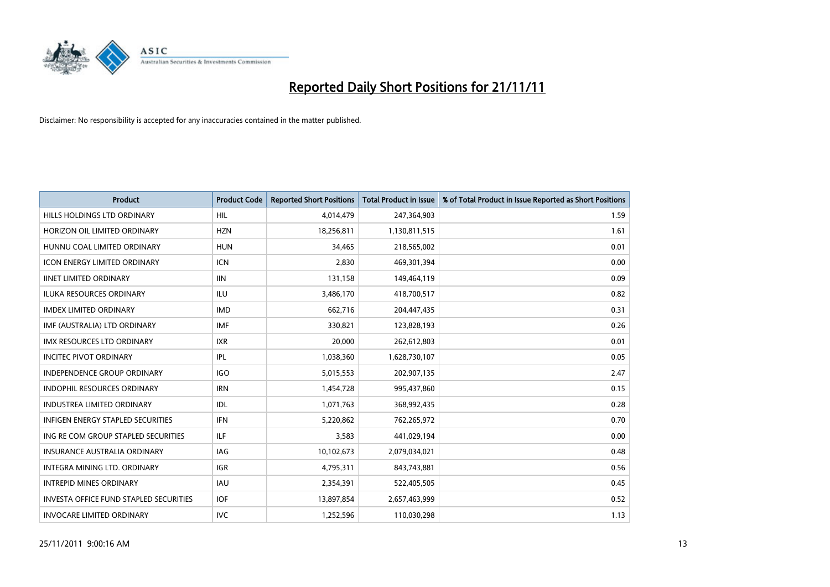

| <b>Product</b>                                | <b>Product Code</b> | <b>Reported Short Positions</b> | <b>Total Product in Issue</b> | % of Total Product in Issue Reported as Short Positions |
|-----------------------------------------------|---------------------|---------------------------------|-------------------------------|---------------------------------------------------------|
| HILLS HOLDINGS LTD ORDINARY                   | <b>HIL</b>          | 4,014,479                       | 247,364,903                   | 1.59                                                    |
| HORIZON OIL LIMITED ORDINARY                  | <b>HZN</b>          | 18,256,811                      | 1,130,811,515                 | 1.61                                                    |
| HUNNU COAL LIMITED ORDINARY                   | <b>HUN</b>          | 34.465                          | 218,565,002                   | 0.01                                                    |
| ICON ENERGY LIMITED ORDINARY                  | <b>ICN</b>          | 2,830                           | 469,301,394                   | 0.00                                                    |
| <b>IINET LIMITED ORDINARY</b>                 | <b>IIN</b>          | 131,158                         | 149,464,119                   | 0.09                                                    |
| <b>ILUKA RESOURCES ORDINARY</b>               | ILU                 | 3,486,170                       | 418,700,517                   | 0.82                                                    |
| <b>IMDEX LIMITED ORDINARY</b>                 | <b>IMD</b>          | 662.716                         | 204,447,435                   | 0.31                                                    |
| IMF (AUSTRALIA) LTD ORDINARY                  | <b>IMF</b>          | 330,821                         | 123,828,193                   | 0.26                                                    |
| IMX RESOURCES LTD ORDINARY                    | <b>IXR</b>          | 20,000                          | 262,612,803                   | 0.01                                                    |
| <b>INCITEC PIVOT ORDINARY</b>                 | IPL                 | 1,038,360                       | 1,628,730,107                 | 0.05                                                    |
| <b>INDEPENDENCE GROUP ORDINARY</b>            | <b>IGO</b>          | 5,015,553                       | 202,907,135                   | 2.47                                                    |
| <b>INDOPHIL RESOURCES ORDINARY</b>            | <b>IRN</b>          | 1,454,728                       | 995,437,860                   | 0.15                                                    |
| <b>INDUSTREA LIMITED ORDINARY</b>             | IDL                 | 1,071,763                       | 368,992,435                   | 0.28                                                    |
| <b>INFIGEN ENERGY STAPLED SECURITIES</b>      | <b>IFN</b>          | 5,220,862                       | 762,265,972                   | 0.70                                                    |
| ING RE COM GROUP STAPLED SECURITIES           | ILF.                | 3,583                           | 441,029,194                   | 0.00                                                    |
| INSURANCE AUSTRALIA ORDINARY                  | IAG                 | 10,102,673                      | 2,079,034,021                 | 0.48                                                    |
| <b>INTEGRA MINING LTD, ORDINARY</b>           | <b>IGR</b>          | 4,795,311                       | 843,743,881                   | 0.56                                                    |
| <b>INTREPID MINES ORDINARY</b>                | <b>IAU</b>          | 2,354,391                       | 522,405,505                   | 0.45                                                    |
| <b>INVESTA OFFICE FUND STAPLED SECURITIES</b> | <b>IOF</b>          | 13,897,854                      | 2,657,463,999                 | 0.52                                                    |
| <b>INVOCARE LIMITED ORDINARY</b>              | <b>IVC</b>          | 1,252,596                       | 110,030,298                   | 1.13                                                    |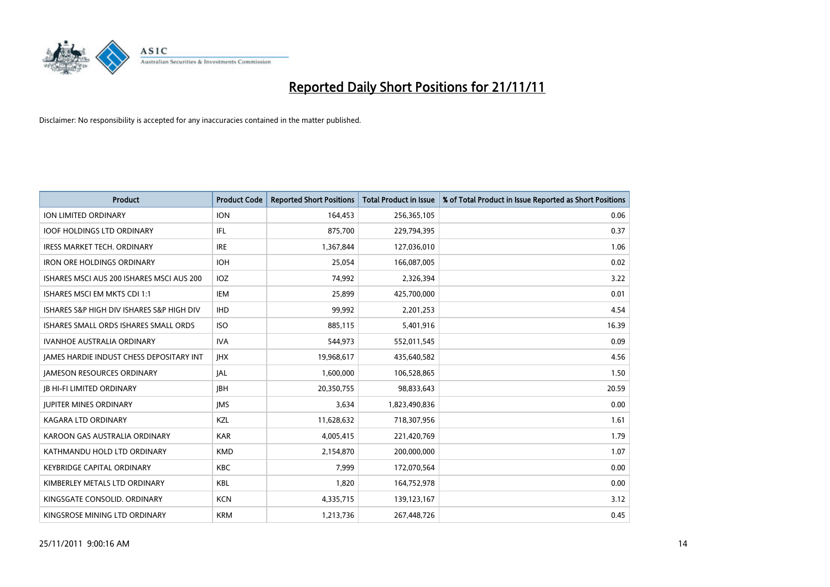

| <b>Product</b>                                  | <b>Product Code</b> | <b>Reported Short Positions</b> | <b>Total Product in Issue</b> | % of Total Product in Issue Reported as Short Positions |
|-------------------------------------------------|---------------------|---------------------------------|-------------------------------|---------------------------------------------------------|
| <b>ION LIMITED ORDINARY</b>                     | <b>ION</b>          | 164,453                         | 256,365,105                   | 0.06                                                    |
| <b>IOOF HOLDINGS LTD ORDINARY</b>               | IFL                 | 875,700                         | 229,794,395                   | 0.37                                                    |
| <b>IRESS MARKET TECH. ORDINARY</b>              | <b>IRE</b>          | 1,367,844                       | 127,036,010                   | 1.06                                                    |
| <b>IRON ORE HOLDINGS ORDINARY</b>               | <b>IOH</b>          | 25,054                          | 166,087,005                   | 0.02                                                    |
| ISHARES MSCI AUS 200 ISHARES MSCI AUS 200       | <b>IOZ</b>          | 74,992                          | 2,326,394                     | 3.22                                                    |
| ISHARES MSCI EM MKTS CDI 1:1                    | IEM                 | 25,899                          | 425,700,000                   | 0.01                                                    |
| ISHARES S&P HIGH DIV ISHARES S&P HIGH DIV       | <b>IHD</b>          | 99,992                          | 2,201,253                     | 4.54                                                    |
| ISHARES SMALL ORDS ISHARES SMALL ORDS           | <b>ISO</b>          | 885,115                         | 5,401,916                     | 16.39                                                   |
| <b>IVANHOE AUSTRALIA ORDINARY</b>               | <b>IVA</b>          | 544,973                         | 552,011,545                   | 0.09                                                    |
| <b>JAMES HARDIE INDUST CHESS DEPOSITARY INT</b> | <b>IHX</b>          | 19,968,617                      | 435,640,582                   | 4.56                                                    |
| <b>JAMESON RESOURCES ORDINARY</b>               | <b>JAL</b>          | 1,600,000                       | 106,528,865                   | 1.50                                                    |
| JB HI-FI LIMITED ORDINARY                       | <b>IBH</b>          | 20,350,755                      | 98,833,643                    | 20.59                                                   |
| <b>JUPITER MINES ORDINARY</b>                   | <b>IMS</b>          | 3,634                           | 1,823,490,836                 | 0.00                                                    |
| <b>KAGARA LTD ORDINARY</b>                      | KZL                 | 11,628,632                      | 718,307,956                   | 1.61                                                    |
| KAROON GAS AUSTRALIA ORDINARY                   | <b>KAR</b>          | 4,005,415                       | 221,420,769                   | 1.79                                                    |
| KATHMANDU HOLD LTD ORDINARY                     | <b>KMD</b>          | 2,154,870                       | 200,000,000                   | 1.07                                                    |
| <b>KEYBRIDGE CAPITAL ORDINARY</b>               | <b>KBC</b>          | 7,999                           | 172,070,564                   | 0.00                                                    |
| KIMBERLEY METALS LTD ORDINARY                   | KBL                 | 1,820                           | 164,752,978                   | 0.00                                                    |
| KINGSGATE CONSOLID, ORDINARY                    | <b>KCN</b>          | 4,335,715                       | 139,123,167                   | 3.12                                                    |
| KINGSROSE MINING LTD ORDINARY                   | <b>KRM</b>          | 1,213,736                       | 267,448,726                   | 0.45                                                    |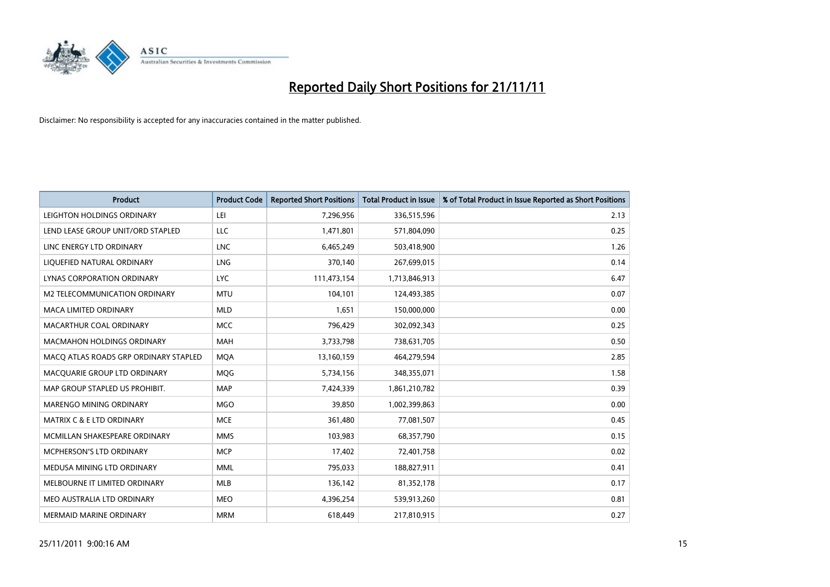

| <b>Product</b>                        | <b>Product Code</b> | <b>Reported Short Positions</b> | <b>Total Product in Issue</b> | % of Total Product in Issue Reported as Short Positions |
|---------------------------------------|---------------------|---------------------------------|-------------------------------|---------------------------------------------------------|
| LEIGHTON HOLDINGS ORDINARY            | LEI                 | 7,296,956                       | 336,515,596                   | 2.13                                                    |
| LEND LEASE GROUP UNIT/ORD STAPLED     | LLC                 | 1,471,801                       | 571,804,090                   | 0.25                                                    |
| LINC ENERGY LTD ORDINARY              | <b>LNC</b>          | 6,465,249                       | 503,418,900                   | 1.26                                                    |
| LIQUEFIED NATURAL ORDINARY            | <b>LNG</b>          | 370,140                         | 267,699,015                   | 0.14                                                    |
| LYNAS CORPORATION ORDINARY            | <b>LYC</b>          | 111,473,154                     | 1,713,846,913                 | 6.47                                                    |
| M2 TELECOMMUNICATION ORDINARY         | <b>MTU</b>          | 104,101                         | 124,493,385                   | 0.07                                                    |
| MACA LIMITED ORDINARY                 | <b>MLD</b>          | 1,651                           | 150,000,000                   | 0.00                                                    |
| MACARTHUR COAL ORDINARY               | <b>MCC</b>          | 796,429                         | 302,092,343                   | 0.25                                                    |
| <b>MACMAHON HOLDINGS ORDINARY</b>     | <b>MAH</b>          | 3,733,798                       | 738,631,705                   | 0.50                                                    |
| MACO ATLAS ROADS GRP ORDINARY STAPLED | <b>MOA</b>          | 13,160,159                      | 464,279,594                   | 2.85                                                    |
| MACQUARIE GROUP LTD ORDINARY          | <b>MOG</b>          | 5,734,156                       | 348,355,071                   | 1.58                                                    |
| MAP GROUP STAPLED US PROHIBIT.        | <b>MAP</b>          | 7,424,339                       | 1,861,210,782                 | 0.39                                                    |
| <b>MARENGO MINING ORDINARY</b>        | <b>MGO</b>          | 39,850                          | 1,002,399,863                 | 0.00                                                    |
| <b>MATRIX C &amp; E LTD ORDINARY</b>  | <b>MCE</b>          | 361,480                         | 77,081,507                    | 0.45                                                    |
| MCMILLAN SHAKESPEARE ORDINARY         | <b>MMS</b>          | 103,983                         | 68,357,790                    | 0.15                                                    |
| MCPHERSON'S LTD ORDINARY              | <b>MCP</b>          | 17,402                          | 72,401,758                    | 0.02                                                    |
| MEDUSA MINING LTD ORDINARY            | <b>MML</b>          | 795,033                         | 188,827,911                   | 0.41                                                    |
| MELBOURNE IT LIMITED ORDINARY         | <b>MLB</b>          | 136,142                         | 81,352,178                    | 0.17                                                    |
| MEO AUSTRALIA LTD ORDINARY            | <b>MEO</b>          | 4,396,254                       | 539,913,260                   | 0.81                                                    |
| MERMAID MARINE ORDINARY               | <b>MRM</b>          | 618,449                         | 217,810,915                   | 0.27                                                    |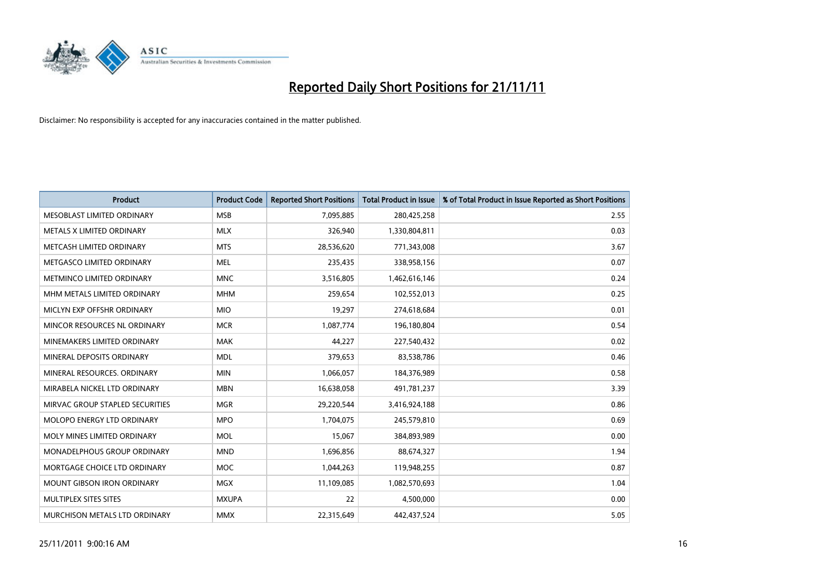

| <b>Product</b>                    | <b>Product Code</b> | <b>Reported Short Positions</b> | <b>Total Product in Issue</b> | % of Total Product in Issue Reported as Short Positions |
|-----------------------------------|---------------------|---------------------------------|-------------------------------|---------------------------------------------------------|
| MESOBLAST LIMITED ORDINARY        | <b>MSB</b>          | 7,095,885                       | 280,425,258                   | 2.55                                                    |
| METALS X LIMITED ORDINARY         | <b>MLX</b>          | 326,940                         | 1,330,804,811                 | 0.03                                                    |
| METCASH LIMITED ORDINARY          | <b>MTS</b>          | 28,536,620                      | 771,343,008                   | 3.67                                                    |
| METGASCO LIMITED ORDINARY         | <b>MEL</b>          | 235,435                         | 338,958,156                   | 0.07                                                    |
| METMINCO LIMITED ORDINARY         | <b>MNC</b>          | 3,516,805                       | 1,462,616,146                 | 0.24                                                    |
| MHM METALS LIMITED ORDINARY       | <b>MHM</b>          | 259,654                         | 102,552,013                   | 0.25                                                    |
| MICLYN EXP OFFSHR ORDINARY        | <b>MIO</b>          | 19,297                          | 274,618,684                   | 0.01                                                    |
| MINCOR RESOURCES NL ORDINARY      | <b>MCR</b>          | 1,087,774                       | 196,180,804                   | 0.54                                                    |
| MINEMAKERS LIMITED ORDINARY       | <b>MAK</b>          | 44,227                          | 227,540,432                   | 0.02                                                    |
| MINERAL DEPOSITS ORDINARY         | <b>MDL</b>          | 379,653                         | 83,538,786                    | 0.46                                                    |
| MINERAL RESOURCES. ORDINARY       | <b>MIN</b>          | 1,066,057                       | 184,376,989                   | 0.58                                                    |
| MIRABELA NICKEL LTD ORDINARY      | <b>MBN</b>          | 16,638,058                      | 491,781,237                   | 3.39                                                    |
| MIRVAC GROUP STAPLED SECURITIES   | <b>MGR</b>          | 29,220,544                      | 3,416,924,188                 | 0.86                                                    |
| MOLOPO ENERGY LTD ORDINARY        | <b>MPO</b>          | 1,704,075                       | 245,579,810                   | 0.69                                                    |
| MOLY MINES LIMITED ORDINARY       | <b>MOL</b>          | 15,067                          | 384,893,989                   | 0.00                                                    |
| MONADELPHOUS GROUP ORDINARY       | <b>MND</b>          | 1,696,856                       | 88,674,327                    | 1.94                                                    |
| MORTGAGE CHOICE LTD ORDINARY      | <b>MOC</b>          | 1,044,263                       | 119,948,255                   | 0.87                                                    |
| <b>MOUNT GIBSON IRON ORDINARY</b> | <b>MGX</b>          | 11,109,085                      | 1,082,570,693                 | 1.04                                                    |
| MULTIPLEX SITES SITES             | <b>MXUPA</b>        | 22                              | 4,500,000                     | 0.00                                                    |
| MURCHISON METALS LTD ORDINARY     | <b>MMX</b>          | 22,315,649                      | 442.437.524                   | 5.05                                                    |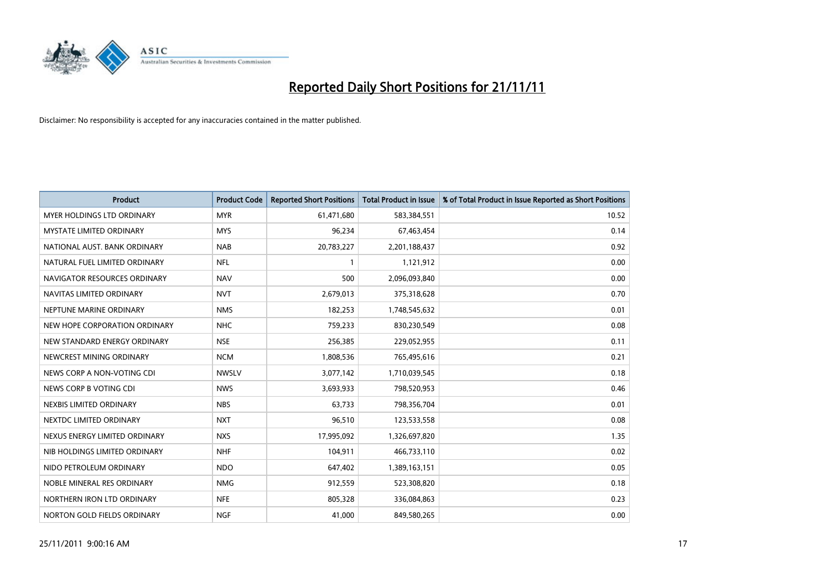

| <b>Product</b>                    | <b>Product Code</b> | <b>Reported Short Positions</b> | <b>Total Product in Issue</b> | % of Total Product in Issue Reported as Short Positions |
|-----------------------------------|---------------------|---------------------------------|-------------------------------|---------------------------------------------------------|
| <b>MYER HOLDINGS LTD ORDINARY</b> | <b>MYR</b>          | 61,471,680                      | 583,384,551                   | 10.52                                                   |
| MYSTATE LIMITED ORDINARY          | <b>MYS</b>          | 96,234                          | 67,463,454                    | 0.14                                                    |
| NATIONAL AUST, BANK ORDINARY      | <b>NAB</b>          | 20,783,227                      | 2,201,188,437                 | 0.92                                                    |
| NATURAL FUEL LIMITED ORDINARY     | <b>NFL</b>          |                                 | 1,121,912                     | 0.00                                                    |
| NAVIGATOR RESOURCES ORDINARY      | <b>NAV</b>          | 500                             | 2,096,093,840                 | 0.00                                                    |
| NAVITAS LIMITED ORDINARY          | <b>NVT</b>          | 2,679,013                       | 375,318,628                   | 0.70                                                    |
| NEPTUNE MARINE ORDINARY           | <b>NMS</b>          | 182,253                         | 1,748,545,632                 | 0.01                                                    |
| NEW HOPE CORPORATION ORDINARY     | <b>NHC</b>          | 759,233                         | 830,230,549                   | 0.08                                                    |
| NEW STANDARD ENERGY ORDINARY      | <b>NSE</b>          | 256,385                         | 229,052,955                   | 0.11                                                    |
| NEWCREST MINING ORDINARY          | <b>NCM</b>          | 1,808,536                       | 765,495,616                   | 0.21                                                    |
| NEWS CORP A NON-VOTING CDI        | <b>NWSLV</b>        | 3,077,142                       | 1,710,039,545                 | 0.18                                                    |
| NEWS CORP B VOTING CDI            | <b>NWS</b>          | 3,693,933                       | 798,520,953                   | 0.46                                                    |
| NEXBIS LIMITED ORDINARY           | <b>NBS</b>          | 63,733                          | 798,356,704                   | 0.01                                                    |
| NEXTDC LIMITED ORDINARY           | <b>NXT</b>          | 96,510                          | 123,533,558                   | 0.08                                                    |
| NEXUS ENERGY LIMITED ORDINARY     | <b>NXS</b>          | 17,995,092                      | 1,326,697,820                 | 1.35                                                    |
| NIB HOLDINGS LIMITED ORDINARY     | <b>NHF</b>          | 104,911                         | 466,733,110                   | 0.02                                                    |
| NIDO PETROLEUM ORDINARY           | <b>NDO</b>          | 647,402                         | 1,389,163,151                 | 0.05                                                    |
| NOBLE MINERAL RES ORDINARY        | <b>NMG</b>          | 912,559                         | 523,308,820                   | 0.18                                                    |
| NORTHERN IRON LTD ORDINARY        | <b>NFE</b>          | 805,328                         | 336,084,863                   | 0.23                                                    |
| NORTON GOLD FIELDS ORDINARY       | <b>NGF</b>          | 41,000                          | 849,580,265                   | 0.00                                                    |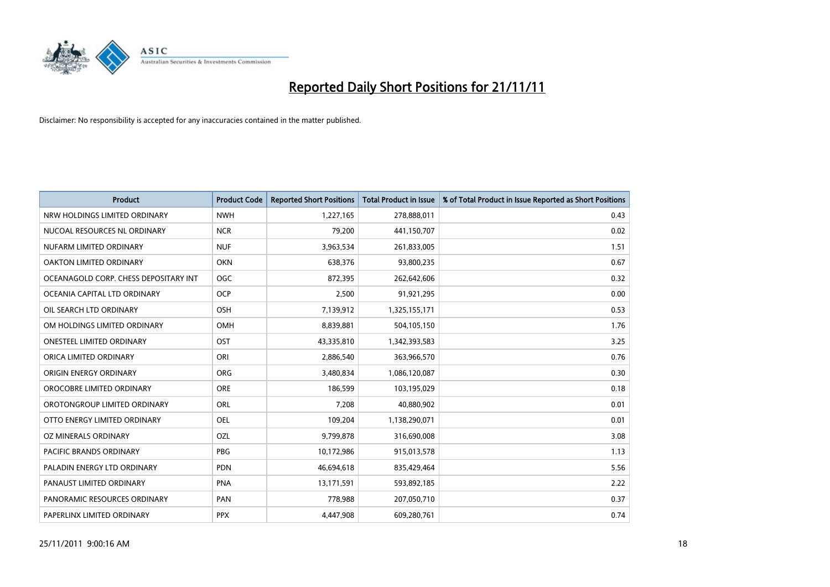

| <b>Product</b>                        | <b>Product Code</b> | <b>Reported Short Positions</b> | <b>Total Product in Issue</b> | % of Total Product in Issue Reported as Short Positions |
|---------------------------------------|---------------------|---------------------------------|-------------------------------|---------------------------------------------------------|
| NRW HOLDINGS LIMITED ORDINARY         | <b>NWH</b>          | 1,227,165                       | 278,888,011                   | 0.43                                                    |
| NUCOAL RESOURCES NL ORDINARY          | <b>NCR</b>          | 79,200                          | 441,150,707                   | 0.02                                                    |
| NUFARM LIMITED ORDINARY               | <b>NUF</b>          | 3,963,534                       | 261,833,005                   | 1.51                                                    |
| OAKTON LIMITED ORDINARY               | <b>OKN</b>          | 638,376                         | 93,800,235                    | 0.67                                                    |
| OCEANAGOLD CORP. CHESS DEPOSITARY INT | <b>OGC</b>          | 872,395                         | 262,642,606                   | 0.32                                                    |
| OCEANIA CAPITAL LTD ORDINARY          | <b>OCP</b>          | 2,500                           | 91,921,295                    | 0.00                                                    |
| OIL SEARCH LTD ORDINARY               | <b>OSH</b>          | 7,139,912                       | 1,325,155,171                 | 0.53                                                    |
| OM HOLDINGS LIMITED ORDINARY          | <b>OMH</b>          | 8,839,881                       | 504,105,150                   | 1.76                                                    |
| <b>ONESTEEL LIMITED ORDINARY</b>      | OST                 | 43,335,810                      | 1,342,393,583                 | 3.25                                                    |
| ORICA LIMITED ORDINARY                | ORI                 | 2,886,540                       | 363,966,570                   | 0.76                                                    |
| ORIGIN ENERGY ORDINARY                | <b>ORG</b>          | 3,480,834                       | 1,086,120,087                 | 0.30                                                    |
| OROCOBRE LIMITED ORDINARY             | <b>ORE</b>          | 186,599                         | 103,195,029                   | 0.18                                                    |
| OROTONGROUP LIMITED ORDINARY          | ORL                 | 7,208                           | 40,880,902                    | 0.01                                                    |
| OTTO ENERGY LIMITED ORDINARY          | OEL                 | 109,204                         | 1,138,290,071                 | 0.01                                                    |
| OZ MINERALS ORDINARY                  | OZL                 | 9,799,878                       | 316,690,008                   | 3.08                                                    |
| PACIFIC BRANDS ORDINARY               | <b>PBG</b>          | 10,172,986                      | 915,013,578                   | 1.13                                                    |
| PALADIN ENERGY LTD ORDINARY           | <b>PDN</b>          | 46,694,618                      | 835,429,464                   | 5.56                                                    |
| PANAUST LIMITED ORDINARY              | <b>PNA</b>          | 13,171,591                      | 593,892,185                   | 2.22                                                    |
| PANORAMIC RESOURCES ORDINARY          | PAN                 | 778,988                         | 207,050,710                   | 0.37                                                    |
| PAPERLINX LIMITED ORDINARY            | <b>PPX</b>          | 4,447,908                       | 609,280,761                   | 0.74                                                    |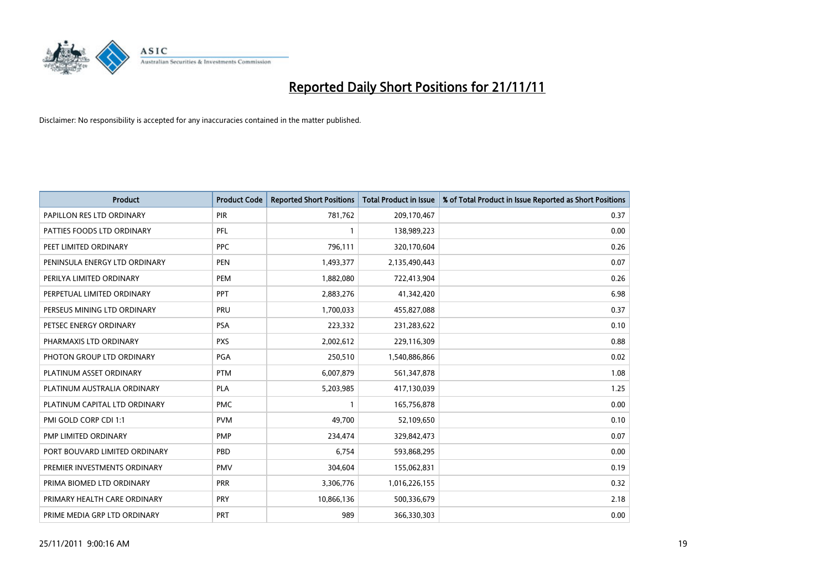

| <b>Product</b>                | <b>Product Code</b> | <b>Reported Short Positions</b> | <b>Total Product in Issue</b> | % of Total Product in Issue Reported as Short Positions |
|-------------------------------|---------------------|---------------------------------|-------------------------------|---------------------------------------------------------|
| PAPILLON RES LTD ORDINARY     | <b>PIR</b>          | 781,762                         | 209,170,467                   | 0.37                                                    |
| PATTIES FOODS LTD ORDINARY    | PFL                 |                                 | 138,989,223                   | 0.00                                                    |
| PEET LIMITED ORDINARY         | <b>PPC</b>          | 796,111                         | 320,170,604                   | 0.26                                                    |
| PENINSULA ENERGY LTD ORDINARY | <b>PEN</b>          | 1,493,377                       | 2,135,490,443                 | 0.07                                                    |
| PERILYA LIMITED ORDINARY      | PEM                 | 1,882,080                       | 722,413,904                   | 0.26                                                    |
| PERPETUAL LIMITED ORDINARY    | PPT                 | 2,883,276                       | 41,342,420                    | 6.98                                                    |
| PERSEUS MINING LTD ORDINARY   | PRU                 | 1,700,033                       | 455,827,088                   | 0.37                                                    |
| PETSEC ENERGY ORDINARY        | <b>PSA</b>          | 223,332                         | 231,283,622                   | 0.10                                                    |
| PHARMAXIS LTD ORDINARY        | <b>PXS</b>          | 2,002,612                       | 229,116,309                   | 0.88                                                    |
| PHOTON GROUP LTD ORDINARY     | PGA                 | 250,510                         | 1,540,886,866                 | 0.02                                                    |
| PLATINUM ASSET ORDINARY       | <b>PTM</b>          | 6,007,879                       | 561,347,878                   | 1.08                                                    |
| PLATINUM AUSTRALIA ORDINARY   | <b>PLA</b>          | 5,203,985                       | 417,130,039                   | 1.25                                                    |
| PLATINUM CAPITAL LTD ORDINARY | <b>PMC</b>          |                                 | 165,756,878                   | 0.00                                                    |
| PMI GOLD CORP CDI 1:1         | <b>PVM</b>          | 49,700                          | 52,109,650                    | 0.10                                                    |
| PMP LIMITED ORDINARY          | <b>PMP</b>          | 234,474                         | 329,842,473                   | 0.07                                                    |
| PORT BOUVARD LIMITED ORDINARY | PBD                 | 6,754                           | 593,868,295                   | 0.00                                                    |
| PREMIER INVESTMENTS ORDINARY  | <b>PMV</b>          | 304,604                         | 155,062,831                   | 0.19                                                    |
| PRIMA BIOMED LTD ORDINARY     | <b>PRR</b>          | 3,306,776                       | 1,016,226,155                 | 0.32                                                    |
| PRIMARY HEALTH CARE ORDINARY  | <b>PRY</b>          | 10,866,136                      | 500,336,679                   | 2.18                                                    |
| PRIME MEDIA GRP LTD ORDINARY  | <b>PRT</b>          | 989                             | 366,330,303                   | 0.00                                                    |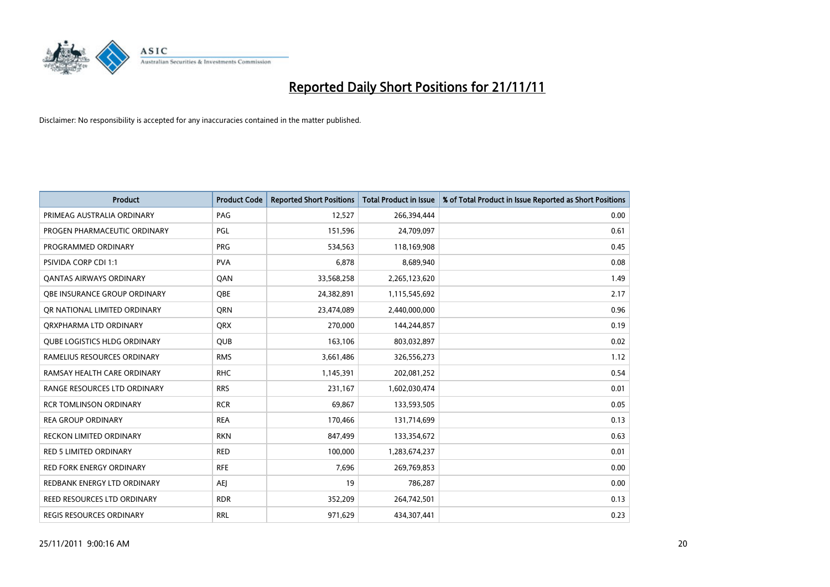

| <b>Product</b>                      | <b>Product Code</b> | <b>Reported Short Positions</b> | <b>Total Product in Issue</b> | % of Total Product in Issue Reported as Short Positions |
|-------------------------------------|---------------------|---------------------------------|-------------------------------|---------------------------------------------------------|
| PRIMEAG AUSTRALIA ORDINARY          | PAG                 | 12,527                          | 266,394,444                   | 0.00                                                    |
| PROGEN PHARMACEUTIC ORDINARY        | <b>PGL</b>          | 151,596                         | 24,709,097                    | 0.61                                                    |
| PROGRAMMED ORDINARY                 | <b>PRG</b>          | 534,563                         | 118,169,908                   | 0.45                                                    |
| <b>PSIVIDA CORP CDI 1:1</b>         | <b>PVA</b>          | 6,878                           | 8,689,940                     | 0.08                                                    |
| OANTAS AIRWAYS ORDINARY             | QAN                 | 33,568,258                      | 2,265,123,620                 | 1.49                                                    |
| OBE INSURANCE GROUP ORDINARY        | <b>OBE</b>          | 24,382,891                      | 1,115,545,692                 | 2.17                                                    |
| OR NATIONAL LIMITED ORDINARY        | <b>ORN</b>          | 23,474,089                      | 2,440,000,000                 | 0.96                                                    |
| ORXPHARMA LTD ORDINARY              | <b>QRX</b>          | 270,000                         | 144,244,857                   | 0.19                                                    |
| <b>QUBE LOGISTICS HLDG ORDINARY</b> | <b>QUB</b>          | 163,106                         | 803,032,897                   | 0.02                                                    |
| RAMELIUS RESOURCES ORDINARY         | <b>RMS</b>          | 3,661,486                       | 326,556,273                   | 1.12                                                    |
| RAMSAY HEALTH CARE ORDINARY         | <b>RHC</b>          | 1,145,391                       | 202,081,252                   | 0.54                                                    |
| RANGE RESOURCES LTD ORDINARY        | <b>RRS</b>          | 231,167                         | 1,602,030,474                 | 0.01                                                    |
| <b>RCR TOMLINSON ORDINARY</b>       | <b>RCR</b>          | 69,867                          | 133,593,505                   | 0.05                                                    |
| <b>REA GROUP ORDINARY</b>           | <b>REA</b>          | 170,466                         | 131,714,699                   | 0.13                                                    |
| <b>RECKON LIMITED ORDINARY</b>      | <b>RKN</b>          | 847,499                         | 133,354,672                   | 0.63                                                    |
| <b>RED 5 LIMITED ORDINARY</b>       | <b>RED</b>          | 100,000                         | 1,283,674,237                 | 0.01                                                    |
| <b>RED FORK ENERGY ORDINARY</b>     | <b>RFE</b>          | 7,696                           | 269,769,853                   | 0.00                                                    |
| REDBANK ENERGY LTD ORDINARY         | <b>AEI</b>          | 19                              | 786,287                       | 0.00                                                    |
| REED RESOURCES LTD ORDINARY         | <b>RDR</b>          | 352,209                         | 264,742,501                   | 0.13                                                    |
| <b>REGIS RESOURCES ORDINARY</b>     | <b>RRL</b>          | 971,629                         | 434,307,441                   | 0.23                                                    |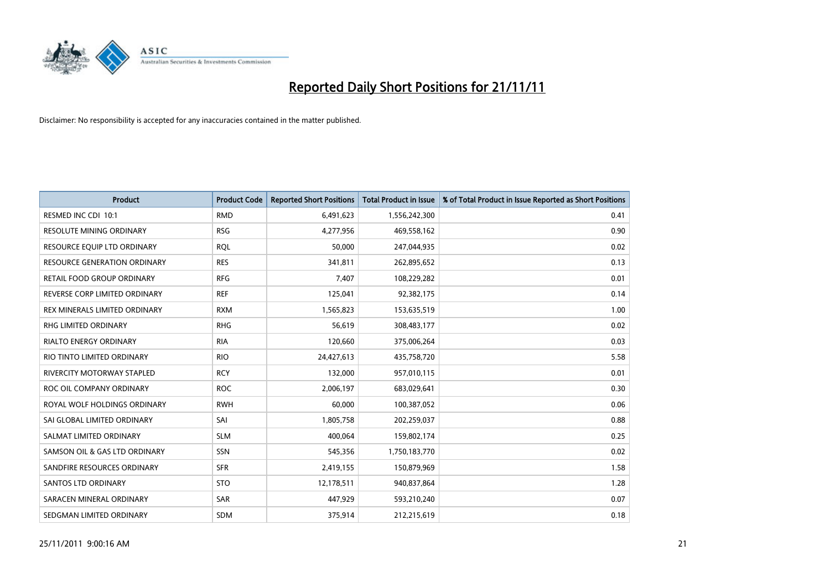

| <b>Product</b>                | <b>Product Code</b> | <b>Reported Short Positions</b> | <b>Total Product in Issue</b> | % of Total Product in Issue Reported as Short Positions |
|-------------------------------|---------------------|---------------------------------|-------------------------------|---------------------------------------------------------|
| RESMED INC CDI 10:1           | <b>RMD</b>          | 6,491,623                       | 1,556,242,300                 | 0.41                                                    |
| RESOLUTE MINING ORDINARY      | <b>RSG</b>          | 4,277,956                       | 469,558,162                   | 0.90                                                    |
| RESOURCE EQUIP LTD ORDINARY   | <b>RQL</b>          | 50,000                          | 247,044,935                   | 0.02                                                    |
| RESOURCE GENERATION ORDINARY  | <b>RES</b>          | 341,811                         | 262,895,652                   | 0.13                                                    |
| RETAIL FOOD GROUP ORDINARY    | <b>RFG</b>          | 7,407                           | 108,229,282                   | 0.01                                                    |
| REVERSE CORP LIMITED ORDINARY | <b>REF</b>          | 125,041                         | 92,382,175                    | 0.14                                                    |
| REX MINERALS LIMITED ORDINARY | <b>RXM</b>          | 1,565,823                       | 153,635,519                   | 1.00                                                    |
| RHG LIMITED ORDINARY          | <b>RHG</b>          | 56,619                          | 308,483,177                   | 0.02                                                    |
| <b>RIALTO ENERGY ORDINARY</b> | <b>RIA</b>          | 120,660                         | 375,006,264                   | 0.03                                                    |
| RIO TINTO LIMITED ORDINARY    | <b>RIO</b>          | 24,427,613                      | 435,758,720                   | 5.58                                                    |
| RIVERCITY MOTORWAY STAPLED    | <b>RCY</b>          | 132,000                         | 957,010,115                   | 0.01                                                    |
| ROC OIL COMPANY ORDINARY      | <b>ROC</b>          | 2,006,197                       | 683,029,641                   | 0.30                                                    |
| ROYAL WOLF HOLDINGS ORDINARY  | <b>RWH</b>          | 60,000                          | 100,387,052                   | 0.06                                                    |
| SAI GLOBAL LIMITED ORDINARY   | SAI                 | 1,805,758                       | 202,259,037                   | 0.88                                                    |
| SALMAT LIMITED ORDINARY       | <b>SLM</b>          | 400,064                         | 159,802,174                   | 0.25                                                    |
| SAMSON OIL & GAS LTD ORDINARY | SSN                 | 545,356                         | 1,750,183,770                 | 0.02                                                    |
| SANDFIRE RESOURCES ORDINARY   | <b>SFR</b>          | 2,419,155                       | 150,879,969                   | 1.58                                                    |
| <b>SANTOS LTD ORDINARY</b>    | <b>STO</b>          | 12,178,511                      | 940,837,864                   | 1.28                                                    |
| SARACEN MINERAL ORDINARY      | <b>SAR</b>          | 447,929                         | 593,210,240                   | 0.07                                                    |
| SEDGMAN LIMITED ORDINARY      | <b>SDM</b>          | 375,914                         | 212,215,619                   | 0.18                                                    |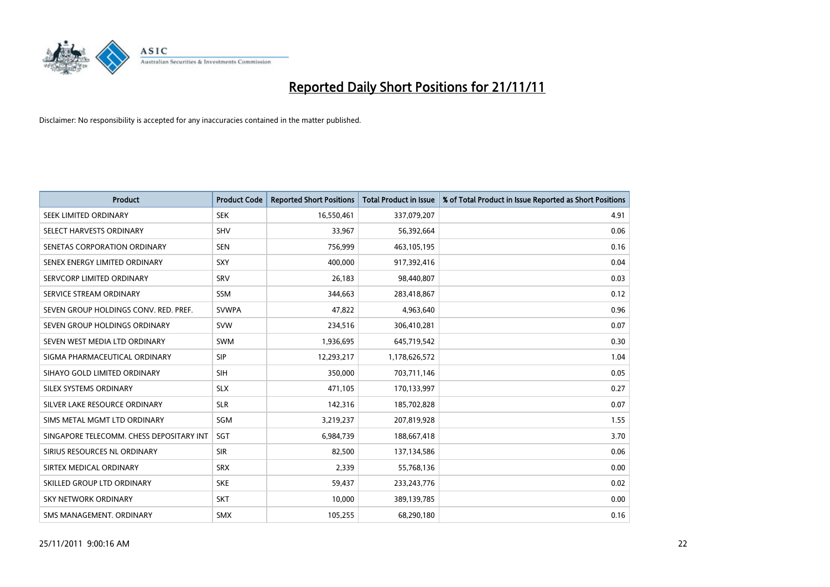

| <b>Product</b>                           | <b>Product Code</b> | <b>Reported Short Positions</b> | <b>Total Product in Issue</b> | % of Total Product in Issue Reported as Short Positions |
|------------------------------------------|---------------------|---------------------------------|-------------------------------|---------------------------------------------------------|
| SEEK LIMITED ORDINARY                    | <b>SEK</b>          | 16,550,461                      | 337,079,207                   | 4.91                                                    |
| SELECT HARVESTS ORDINARY                 | <b>SHV</b>          | 33,967                          | 56,392,664                    | 0.06                                                    |
| SENETAS CORPORATION ORDINARY             | <b>SEN</b>          | 756,999                         | 463,105,195                   | 0.16                                                    |
| SENEX ENERGY LIMITED ORDINARY            | <b>SXY</b>          | 400.000                         | 917,392,416                   | 0.04                                                    |
| SERVCORP LIMITED ORDINARY                | SRV                 | 26,183                          | 98,440,807                    | 0.03                                                    |
| SERVICE STREAM ORDINARY                  | <b>SSM</b>          | 344,663                         | 283,418,867                   | 0.12                                                    |
| SEVEN GROUP HOLDINGS CONV. RED. PREF.    | <b>SVWPA</b>        | 47,822                          | 4,963,640                     | 0.96                                                    |
| SEVEN GROUP HOLDINGS ORDINARY            | <b>SVW</b>          | 234,516                         | 306,410,281                   | 0.07                                                    |
| SEVEN WEST MEDIA LTD ORDINARY            | <b>SWM</b>          | 1,936,695                       | 645,719,542                   | 0.30                                                    |
| SIGMA PHARMACEUTICAL ORDINARY            | <b>SIP</b>          | 12,293,217                      | 1,178,626,572                 | 1.04                                                    |
| SIHAYO GOLD LIMITED ORDINARY             | <b>SIH</b>          | 350,000                         | 703,711,146                   | 0.05                                                    |
| SILEX SYSTEMS ORDINARY                   | <b>SLX</b>          | 471,105                         | 170,133,997                   | 0.27                                                    |
| SILVER LAKE RESOURCE ORDINARY            | <b>SLR</b>          | 142,316                         | 185,702,828                   | 0.07                                                    |
| SIMS METAL MGMT LTD ORDINARY             | SGM                 | 3,219,237                       | 207,819,928                   | 1.55                                                    |
| SINGAPORE TELECOMM. CHESS DEPOSITARY INT | <b>SGT</b>          | 6,984,739                       | 188,667,418                   | 3.70                                                    |
| SIRIUS RESOURCES NL ORDINARY             | <b>SIR</b>          | 82,500                          | 137,134,586                   | 0.06                                                    |
| SIRTEX MEDICAL ORDINARY                  | <b>SRX</b>          | 2,339                           | 55,768,136                    | 0.00                                                    |
| SKILLED GROUP LTD ORDINARY               | <b>SKE</b>          | 59,437                          | 233, 243, 776                 | 0.02                                                    |
| <b>SKY NETWORK ORDINARY</b>              | <b>SKT</b>          | 10,000                          | 389,139,785                   | 0.00                                                    |
| SMS MANAGEMENT. ORDINARY                 | <b>SMX</b>          | 105,255                         | 68,290,180                    | 0.16                                                    |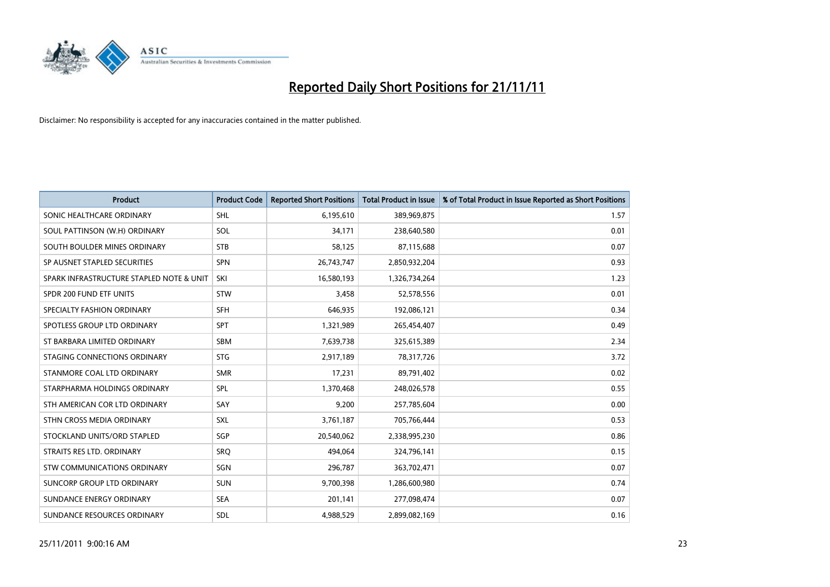

| <b>Product</b>                           | <b>Product Code</b> | <b>Reported Short Positions</b> | <b>Total Product in Issue</b> | % of Total Product in Issue Reported as Short Positions |
|------------------------------------------|---------------------|---------------------------------|-------------------------------|---------------------------------------------------------|
| SONIC HEALTHCARE ORDINARY                | <b>SHL</b>          | 6,195,610                       | 389,969,875                   | 1.57                                                    |
| SOUL PATTINSON (W.H) ORDINARY            | SOL                 | 34,171                          | 238,640,580                   | 0.01                                                    |
| SOUTH BOULDER MINES ORDINARY             | <b>STB</b>          | 58,125                          | 87,115,688                    | 0.07                                                    |
| SP AUSNET STAPLED SECURITIES             | <b>SPN</b>          | 26,743,747                      | 2,850,932,204                 | 0.93                                                    |
| SPARK INFRASTRUCTURE STAPLED NOTE & UNIT | SKI                 | 16,580,193                      | 1,326,734,264                 | 1.23                                                    |
| SPDR 200 FUND ETF UNITS                  | <b>STW</b>          | 3,458                           | 52,578,556                    | 0.01                                                    |
| SPECIALTY FASHION ORDINARY               | <b>SFH</b>          | 646,935                         | 192,086,121                   | 0.34                                                    |
| SPOTLESS GROUP LTD ORDINARY              | <b>SPT</b>          | 1,321,989                       | 265,454,407                   | 0.49                                                    |
| ST BARBARA LIMITED ORDINARY              | <b>SBM</b>          | 7,639,738                       | 325,615,389                   | 2.34                                                    |
| STAGING CONNECTIONS ORDINARY             | <b>STG</b>          | 2,917,189                       | 78,317,726                    | 3.72                                                    |
| STANMORE COAL LTD ORDINARY               | <b>SMR</b>          | 17,231                          | 89,791,402                    | 0.02                                                    |
| STARPHARMA HOLDINGS ORDINARY             | <b>SPL</b>          | 1,370,468                       | 248,026,578                   | 0.55                                                    |
| STH AMERICAN COR LTD ORDINARY            | SAY                 | 9,200                           | 257,785,604                   | 0.00                                                    |
| STHN CROSS MEDIA ORDINARY                | SXL                 | 3,761,187                       | 705,766,444                   | 0.53                                                    |
| STOCKLAND UNITS/ORD STAPLED              | SGP                 | 20,540,062                      | 2,338,995,230                 | 0.86                                                    |
| STRAITS RES LTD. ORDINARY                | SRO                 | 494,064                         | 324,796,141                   | 0.15                                                    |
| STW COMMUNICATIONS ORDINARY              | SGN                 | 296,787                         | 363,702,471                   | 0.07                                                    |
| SUNCORP GROUP LTD ORDINARY               | <b>SUN</b>          | 9,700,398                       | 1,286,600,980                 | 0.74                                                    |
| SUNDANCE ENERGY ORDINARY                 | <b>SEA</b>          | 201,141                         | 277,098,474                   | 0.07                                                    |
| SUNDANCE RESOURCES ORDINARY              | <b>SDL</b>          | 4,988,529                       | 2,899,082,169                 | 0.16                                                    |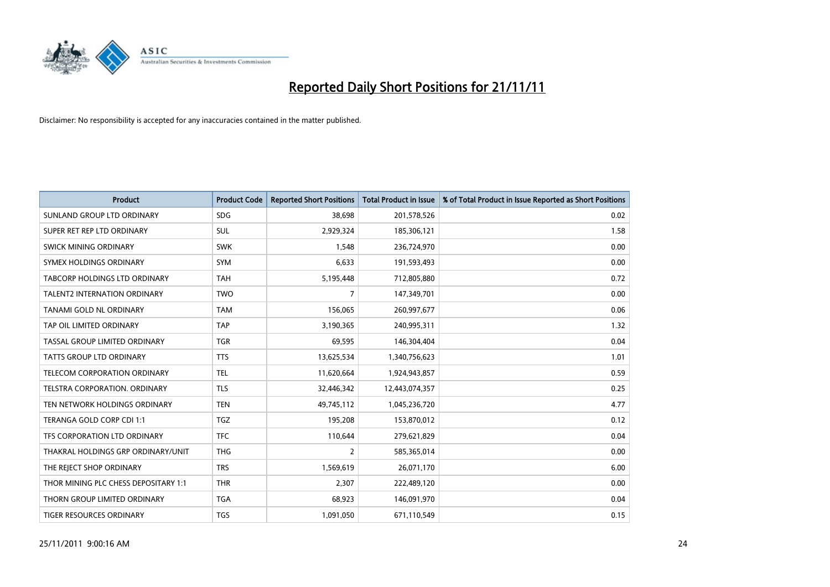

| <b>Product</b>                       | <b>Product Code</b> | <b>Reported Short Positions</b> | <b>Total Product in Issue</b> | % of Total Product in Issue Reported as Short Positions |
|--------------------------------------|---------------------|---------------------------------|-------------------------------|---------------------------------------------------------|
| SUNLAND GROUP LTD ORDINARY           | <b>SDG</b>          | 38,698                          | 201,578,526                   | 0.02                                                    |
| SUPER RET REP LTD ORDINARY           | <b>SUL</b>          | 2,929,324                       | 185,306,121                   | 1.58                                                    |
| <b>SWICK MINING ORDINARY</b>         | <b>SWK</b>          | 1,548                           | 236,724,970                   | 0.00                                                    |
| SYMEX HOLDINGS ORDINARY              | <b>SYM</b>          | 6,633                           | 191,593,493                   | 0.00                                                    |
| <b>TABCORP HOLDINGS LTD ORDINARY</b> | <b>TAH</b>          | 5,195,448                       | 712,805,880                   | 0.72                                                    |
| <b>TALENT2 INTERNATION ORDINARY</b>  | <b>TWO</b>          | 7                               | 147,349,701                   | 0.00                                                    |
| TANAMI GOLD NL ORDINARY              | <b>TAM</b>          | 156,065                         | 260,997,677                   | 0.06                                                    |
| TAP OIL LIMITED ORDINARY             | <b>TAP</b>          | 3,190,365                       | 240,995,311                   | 1.32                                                    |
| TASSAL GROUP LIMITED ORDINARY        | <b>TGR</b>          | 69,595                          | 146,304,404                   | 0.04                                                    |
| TATTS GROUP LTD ORDINARY             | <b>TTS</b>          | 13,625,534                      | 1,340,756,623                 | 1.01                                                    |
| TELECOM CORPORATION ORDINARY         | <b>TEL</b>          | 11,620,664                      | 1,924,943,857                 | 0.59                                                    |
| <b>TELSTRA CORPORATION, ORDINARY</b> | <b>TLS</b>          | 32,446,342                      | 12,443,074,357                | 0.25                                                    |
| TEN NETWORK HOLDINGS ORDINARY        | <b>TEN</b>          | 49,745,112                      | 1,045,236,720                 | 4.77                                                    |
| <b>TERANGA GOLD CORP CDI 1:1</b>     | <b>TGZ</b>          | 195,208                         | 153,870,012                   | 0.12                                                    |
| TFS CORPORATION LTD ORDINARY         | <b>TFC</b>          | 110,644                         | 279,621,829                   | 0.04                                                    |
| THAKRAL HOLDINGS GRP ORDINARY/UNIT   | <b>THG</b>          | 2                               | 585,365,014                   | 0.00                                                    |
| THE REJECT SHOP ORDINARY             | <b>TRS</b>          | 1,569,619                       | 26,071,170                    | 6.00                                                    |
| THOR MINING PLC CHESS DEPOSITARY 1:1 | <b>THR</b>          | 2,307                           | 222,489,120                   | 0.00                                                    |
| THORN GROUP LIMITED ORDINARY         | <b>TGA</b>          | 68,923                          | 146,091,970                   | 0.04                                                    |
| TIGER RESOURCES ORDINARY             | <b>TGS</b>          | 1,091,050                       | 671,110,549                   | 0.15                                                    |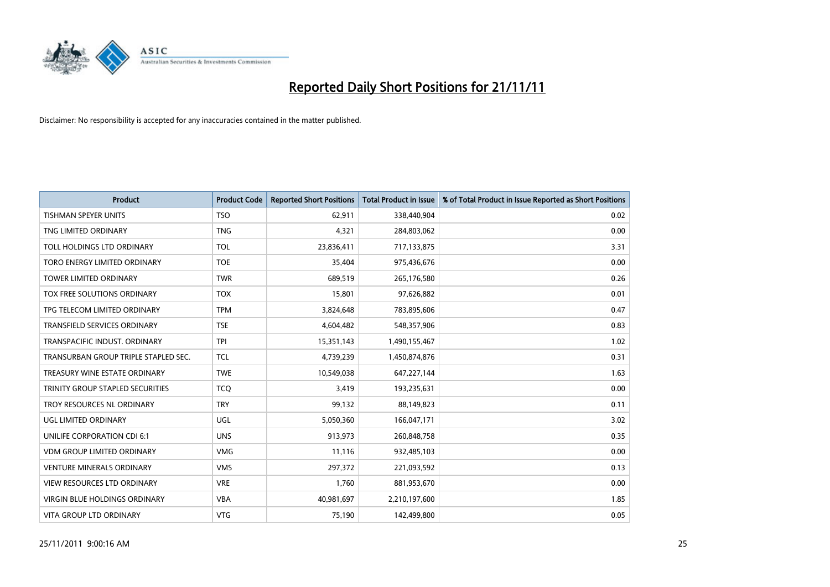

| <b>Product</b>                       | <b>Product Code</b> | <b>Reported Short Positions</b> | <b>Total Product in Issue</b> | % of Total Product in Issue Reported as Short Positions |
|--------------------------------------|---------------------|---------------------------------|-------------------------------|---------------------------------------------------------|
| <b>TISHMAN SPEYER UNITS</b>          | <b>TSO</b>          | 62,911                          | 338,440,904                   | 0.02                                                    |
| TNG LIMITED ORDINARY                 | <b>TNG</b>          | 4,321                           | 284,803,062                   | 0.00                                                    |
| TOLL HOLDINGS LTD ORDINARY           | <b>TOL</b>          | 23,836,411                      | 717,133,875                   | 3.31                                                    |
| TORO ENERGY LIMITED ORDINARY         | <b>TOE</b>          | 35,404                          | 975,436,676                   | 0.00                                                    |
| <b>TOWER LIMITED ORDINARY</b>        | <b>TWR</b>          | 689,519                         | 265,176,580                   | 0.26                                                    |
| TOX FREE SOLUTIONS ORDINARY          | <b>TOX</b>          | 15,801                          | 97,626,882                    | 0.01                                                    |
| TPG TELECOM LIMITED ORDINARY         | <b>TPM</b>          | 3,824,648                       | 783,895,606                   | 0.47                                                    |
| <b>TRANSFIELD SERVICES ORDINARY</b>  | <b>TSE</b>          | 4,604,482                       | 548,357,906                   | 0.83                                                    |
| TRANSPACIFIC INDUST, ORDINARY        | <b>TPI</b>          | 15,351,143                      | 1,490,155,467                 | 1.02                                                    |
| TRANSURBAN GROUP TRIPLE STAPLED SEC. | <b>TCL</b>          | 4,739,239                       | 1,450,874,876                 | 0.31                                                    |
| TREASURY WINE ESTATE ORDINARY        | <b>TWE</b>          | 10,549,038                      | 647,227,144                   | 1.63                                                    |
| TRINITY GROUP STAPLED SECURITIES     | <b>TCO</b>          | 3,419                           | 193,235,631                   | 0.00                                                    |
| TROY RESOURCES NL ORDINARY           | <b>TRY</b>          | 99,132                          | 88,149,823                    | 0.11                                                    |
| UGL LIMITED ORDINARY                 | UGL                 | 5,050,360                       | 166,047,171                   | 3.02                                                    |
| UNILIFE CORPORATION CDI 6:1          | <b>UNS</b>          | 913,973                         | 260,848,758                   | 0.35                                                    |
| <b>VDM GROUP LIMITED ORDINARY</b>    | <b>VMG</b>          | 11,116                          | 932,485,103                   | 0.00                                                    |
| <b>VENTURE MINERALS ORDINARY</b>     | <b>VMS</b>          | 297,372                         | 221,093,592                   | 0.13                                                    |
| VIEW RESOURCES LTD ORDINARY          | <b>VRE</b>          | 1,760                           | 881,953,670                   | 0.00                                                    |
| <b>VIRGIN BLUE HOLDINGS ORDINARY</b> | <b>VBA</b>          | 40,981,697                      | 2,210,197,600                 | 1.85                                                    |
| VITA GROUP LTD ORDINARY              | <b>VTG</b>          | 75,190                          | 142,499,800                   | 0.05                                                    |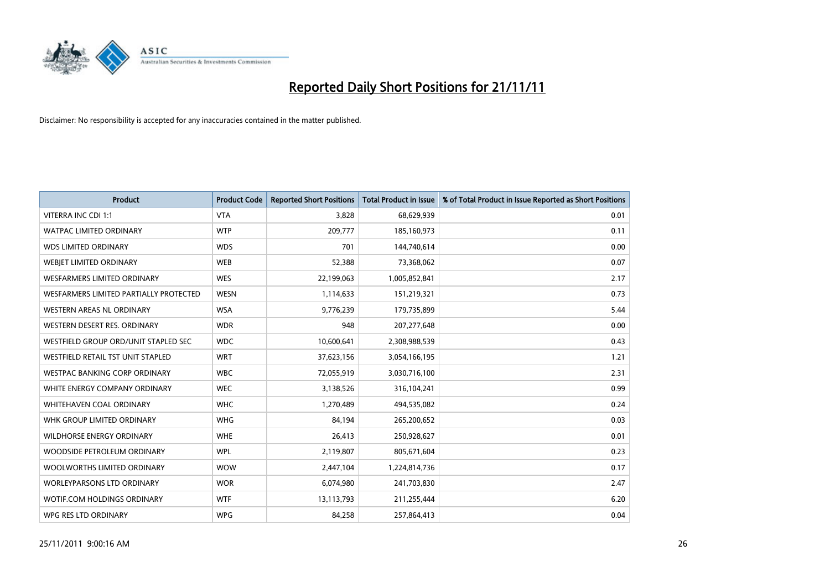

| <b>Product</b>                         | <b>Product Code</b> | <b>Reported Short Positions</b> | <b>Total Product in Issue</b> | % of Total Product in Issue Reported as Short Positions |
|----------------------------------------|---------------------|---------------------------------|-------------------------------|---------------------------------------------------------|
| VITERRA INC CDI 1:1                    | <b>VTA</b>          | 3,828                           | 68,629,939                    | 0.01                                                    |
| <b>WATPAC LIMITED ORDINARY</b>         | <b>WTP</b>          | 209,777                         | 185,160,973                   | 0.11                                                    |
| <b>WDS LIMITED ORDINARY</b>            | <b>WDS</b>          | 701                             | 144,740,614                   | 0.00                                                    |
| WEBIET LIMITED ORDINARY                | <b>WEB</b>          | 52,388                          | 73,368,062                    | 0.07                                                    |
| <b>WESFARMERS LIMITED ORDINARY</b>     | <b>WES</b>          | 22,199,063                      | 1,005,852,841                 | 2.17                                                    |
| WESFARMERS LIMITED PARTIALLY PROTECTED | <b>WESN</b>         | 1,114,633                       | 151,219,321                   | 0.73                                                    |
| <b>WESTERN AREAS NL ORDINARY</b>       | <b>WSA</b>          | 9,776,239                       | 179,735,899                   | 5.44                                                    |
| WESTERN DESERT RES. ORDINARY           | <b>WDR</b>          | 948                             | 207, 277, 648                 | 0.00                                                    |
| WESTFIELD GROUP ORD/UNIT STAPLED SEC   | <b>WDC</b>          | 10,600,641                      | 2,308,988,539                 | 0.43                                                    |
| WESTFIELD RETAIL TST UNIT STAPLED      | <b>WRT</b>          | 37,623,156                      | 3,054,166,195                 | 1.21                                                    |
| WESTPAC BANKING CORP ORDINARY          | <b>WBC</b>          | 72,055,919                      | 3,030,716,100                 | 2.31                                                    |
| WHITE ENERGY COMPANY ORDINARY          | <b>WEC</b>          | 3,138,526                       | 316,104,241                   | 0.99                                                    |
| <b>WHITEHAVEN COAL ORDINARY</b>        | <b>WHC</b>          | 1,270,489                       | 494,535,082                   | 0.24                                                    |
| WHK GROUP LIMITED ORDINARY             | <b>WHG</b>          | 84,194                          | 265,200,652                   | 0.03                                                    |
| <b>WILDHORSE ENERGY ORDINARY</b>       | <b>WHE</b>          | 26,413                          | 250,928,627                   | 0.01                                                    |
| WOODSIDE PETROLEUM ORDINARY            | <b>WPL</b>          | 2,119,807                       | 805,671,604                   | 0.23                                                    |
| WOOLWORTHS LIMITED ORDINARY            | <b>WOW</b>          | 2,447,104                       | 1,224,814,736                 | 0.17                                                    |
| <b>WORLEYPARSONS LTD ORDINARY</b>      | <b>WOR</b>          | 6,074,980                       | 241,703,830                   | 2.47                                                    |
| WOTIF.COM HOLDINGS ORDINARY            | <b>WTF</b>          | 13,113,793                      | 211,255,444                   | 6.20                                                    |
| WPG RES LTD ORDINARY                   | <b>WPG</b>          | 84,258                          | 257,864,413                   | 0.04                                                    |